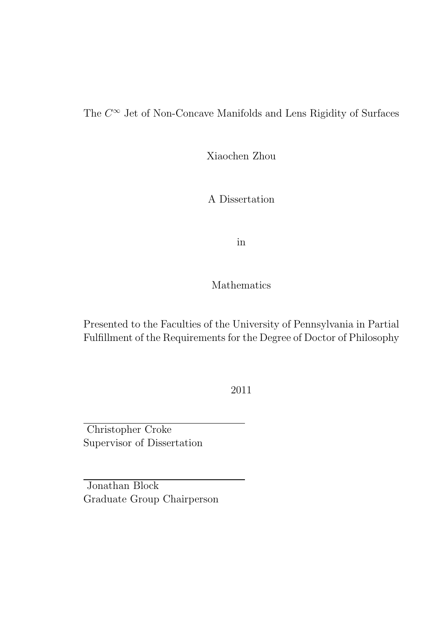The  $C^{\infty}$  Jet of Non-Concave Manifolds and Lens Rigidity of Surfaces

Xiaochen Zhou

A Dissertation

in

Mathematics

Presented to the Faculties of the University of Pennsylvania in Partial Fulfillment of the Requirements for the Degree of Doctor of Philosophy

2011

Christopher Croke Supervisor of Dissertation

Jonathan Block Graduate Group Chairperson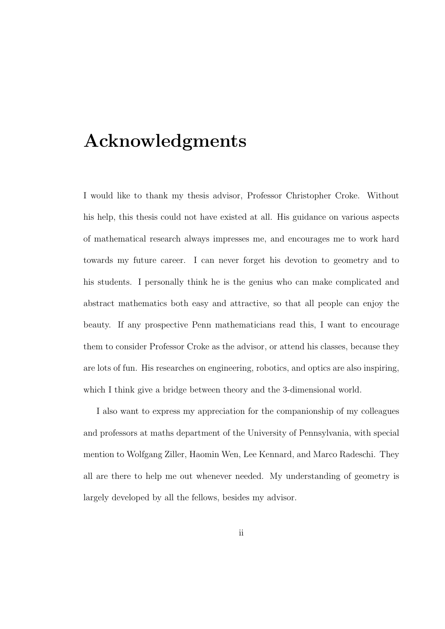# Acknowledgments

I would like to thank my thesis advisor, Professor Christopher Croke. Without his help, this thesis could not have existed at all. His guidance on various aspects of mathematical research always impresses me, and encourages me to work hard towards my future career. I can never forget his devotion to geometry and to his students. I personally think he is the genius who can make complicated and abstract mathematics both easy and attractive, so that all people can enjoy the beauty. If any prospective Penn mathematicians read this, I want to encourage them to consider Professor Croke as the advisor, or attend his classes, because they are lots of fun. His researches on engineering, robotics, and optics are also inspiring, which I think give a bridge between theory and the 3-dimensional world.

I also want to express my appreciation for the companionship of my colleagues and professors at maths department of the University of Pennsylvania, with special mention to Wolfgang Ziller, Haomin Wen, Lee Kennard, and Marco Radeschi. They all are there to help me out whenever needed. My understanding of geometry is largely developed by all the fellows, besides my advisor.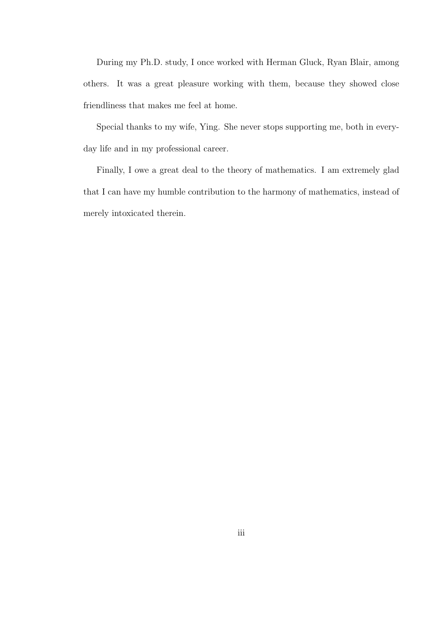During my Ph.D. study, I once worked with Herman Gluck, Ryan Blair, among others. It was a great pleasure working with them, because they showed close friendliness that makes me feel at home.

Special thanks to my wife, Ying. She never stops supporting me, both in everyday life and in my professional career.

Finally, I owe a great deal to the theory of mathematics. I am extremely glad that I can have my humble contribution to the harmony of mathematics, instead of merely intoxicated therein.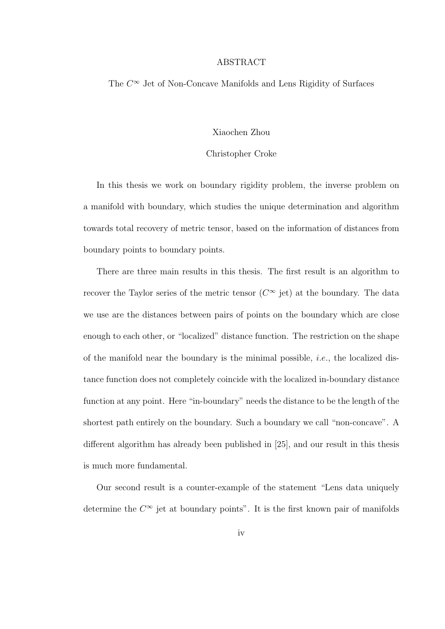#### ABSTRACT

The  $C^{\infty}$  Jet of Non-Concave Manifolds and Lens Rigidity of Surfaces

#### Xiaochen Zhou

#### Christopher Croke

In this thesis we work on boundary rigidity problem, the inverse problem on a manifold with boundary, which studies the unique determination and algorithm towards total recovery of metric tensor, based on the information of distances from boundary points to boundary points.

There are three main results in this thesis. The first result is an algorithm to recover the Taylor series of the metric tensor  $(C^{\infty}$  jet) at the boundary. The data we use are the distances between pairs of points on the boundary which are close enough to each other, or "localized" distance function. The restriction on the shape of the manifold near the boundary is the minimal possible, *i.e.*, the localized distance function does not completely coincide with the localized in-boundary distance function at any point. Here "in-boundary" needs the distance to be the length of the shortest path entirely on the boundary. Such a boundary we call "non-concave". A different algorithm has already been published in [25], and our result in this thesis is much more fundamental.

Our second result is a counter-example of the statement "Lens data uniquely determine the  $C^{\infty}$  jet at boundary points". It is the first known pair of manifolds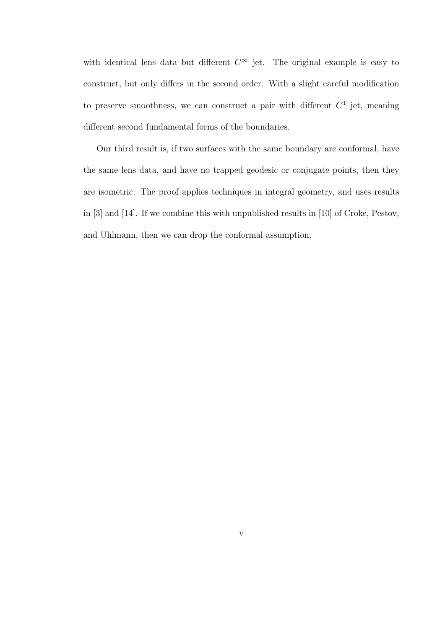with identical lens data but different  $C^{\infty}$  jet. The original example is easy to construct, but only differs in the second order. With a slight careful modification to preserve smoothness, we can construct a pair with different  $C^1$  jet, meaning different second fundamental forms of the boundaries.

Our third result is, if two surfaces with the same boundary are conformal, have the same lens data, and have no trapped geodesic or conjugate points, then they are isometric. The proof applies techniques in integral geometry, and uses results in [3] and [14]. If we combine this with unpublished results in [10] of Croke, Pestov, and Uhlmann, then we can drop the conformal assumption.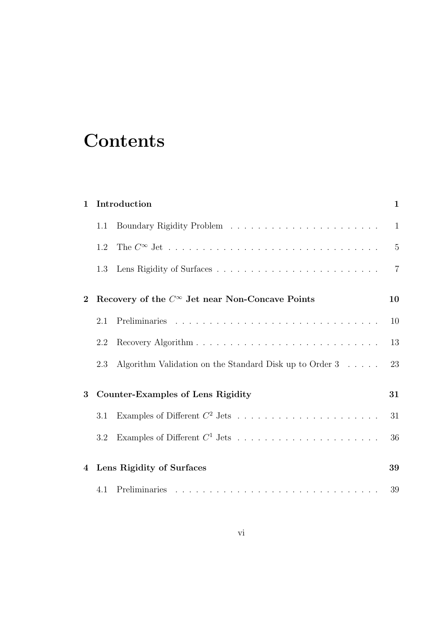# **Contents**

| $\mathbf 1$    |         | Introduction                                                      | $\mathbf{1}$   |
|----------------|---------|-------------------------------------------------------------------|----------------|
|                | $1.1\,$ |                                                                   |                |
|                | 1.2     |                                                                   | $\overline{5}$ |
|                | 1.3     |                                                                   | $\overline{7}$ |
| $\mathbf{2}$   |         | Recovery of the $C^{\infty}$ Jet near Non-Concave Points          | 10             |
|                | 2.1     |                                                                   | 10             |
|                | 2.2     |                                                                   | 13             |
|                | 2.3     | Algorithm Validation on the Standard Disk up to Order $3 \dots$ . | 23             |
| 3              |         | <b>Counter-Examples of Lens Rigidity</b>                          | 31             |
|                | 3.1     | Examples of Different $C^2$ Jets                                  | 31             |
|                | 3.2     | Examples of Different $C^1$ Jets                                  | 36             |
| $\overline{4}$ |         | Lens Rigidity of Surfaces                                         | 39             |
|                |         |                                                                   | 39             |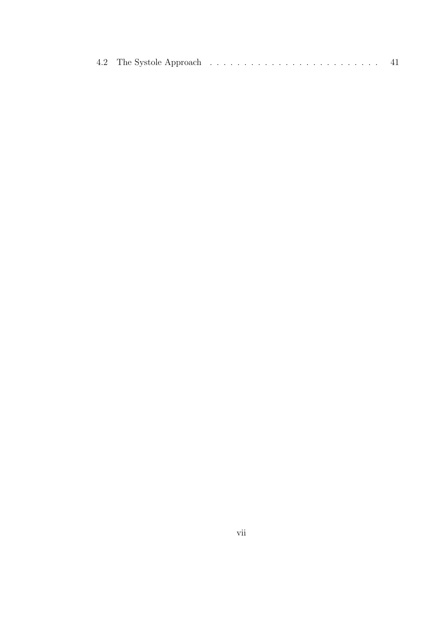|--|--|--|--|--|--|--|--|--|--|--|--|--|--|--|--|--|--|--|--|--|--|--|--|--|--|--|--|--|--|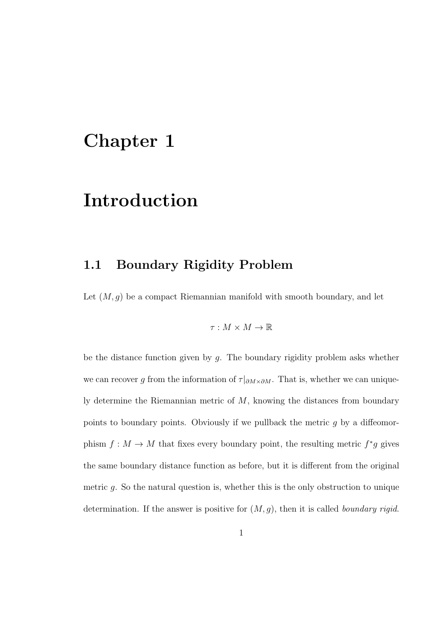# Chapter 1

# Introduction

#### 1.1 Boundary Rigidity Problem

Let  $(M, g)$  be a compact Riemannian manifold with smooth boundary, and let

$$
\tau: M \times M \to \mathbb{R}
$$

be the distance function given by  $q$ . The boundary rigidity problem asks whether we can recover g from the information of  $\tau|_{\partial M \times \partial M}$ . That is, whether we can uniquely determine the Riemannian metric of  $M$ , knowing the distances from boundary points to boundary points. Obviously if we pullback the metric g by a diffeomorphism  $f: M \to M$  that fixes every boundary point, the resulting metric  $f^*g$  gives the same boundary distance function as before, but it is different from the original metric g. So the natural question is, whether this is the only obstruction to unique determination. If the answer is positive for  $(M, g)$ , then it is called *boundary rigid*.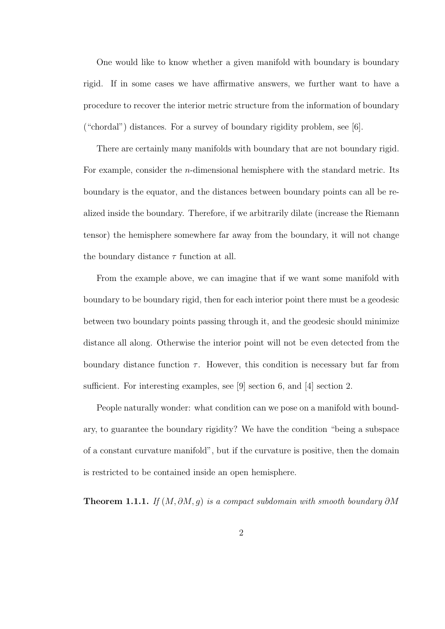One would like to know whether a given manifold with boundary is boundary rigid. If in some cases we have affirmative answers, we further want to have a procedure to recover the interior metric structure from the information of boundary ("chordal") distances. For a survey of boundary rigidity problem, see [6].

There are certainly many manifolds with boundary that are not boundary rigid. For example, consider the n-dimensional hemisphere with the standard metric. Its boundary is the equator, and the distances between boundary points can all be realized inside the boundary. Therefore, if we arbitrarily dilate (increase the Riemann tensor) the hemisphere somewhere far away from the boundary, it will not change the boundary distance  $\tau$  function at all.

From the example above, we can imagine that if we want some manifold with boundary to be boundary rigid, then for each interior point there must be a geodesic between two boundary points passing through it, and the geodesic should minimize distance all along. Otherwise the interior point will not be even detected from the boundary distance function  $\tau$ . However, this condition is necessary but far from sufficient. For interesting examples, see [9] section 6, and [4] section 2.

People naturally wonder: what condition can we pose on a manifold with boundary, to guarantee the boundary rigidity? We have the condition "being a subspace of a constant curvature manifold", but if the curvature is positive, then the domain is restricted to be contained inside an open hemisphere.

**Theorem 1.1.1.** If  $(M, \partial M, g)$  is a compact subdomain with smooth boundary  $\partial M$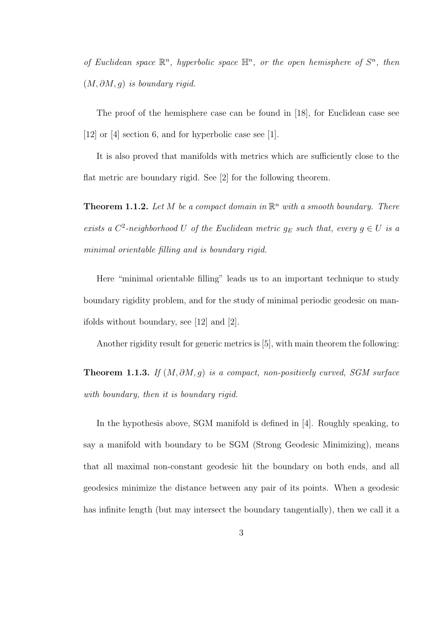of Euclidean space  $\mathbb{R}^n$ , hyperbolic space  $\mathbb{H}^n$ , or the open hemisphere of  $S^n$ , then  $(M, \partial M, g)$  is boundary rigid.

The proof of the hemisphere case can be found in [18], for Euclidean case see [12] or [4] section 6, and for hyperbolic case see [1].

It is also proved that manifolds with metrics which are sufficiently close to the flat metric are boundary rigid. See [2] for the following theorem.

**Theorem 1.1.2.** Let M be a compact domain in  $\mathbb{R}^n$  with a smooth boundary. There exists a  $C^2$ -neighborhood U of the Euclidean metric  $g_E$  such that, every  $g \in U$  is a minimal orientable filling and is boundary rigid.

Here "minimal orientable filling" leads us to an important technique to study boundary rigidity problem, and for the study of minimal periodic geodesic on manifolds without boundary, see [12] and [2].

Another rigidity result for generic metrics is [5], with main theorem the following:

**Theorem 1.1.3.** If  $(M, \partial M, q)$  is a compact, non-positively curved, SGM surface with boundary, then it is boundary rigid.

In the hypothesis above, SGM manifold is defined in [4]. Roughly speaking, to say a manifold with boundary to be SGM (Strong Geodesic Minimizing), means that all maximal non-constant geodesic hit the boundary on both ends, and all geodesics minimize the distance between any pair of its points. When a geodesic has infinite length (but may intersect the boundary tangentially), then we call it a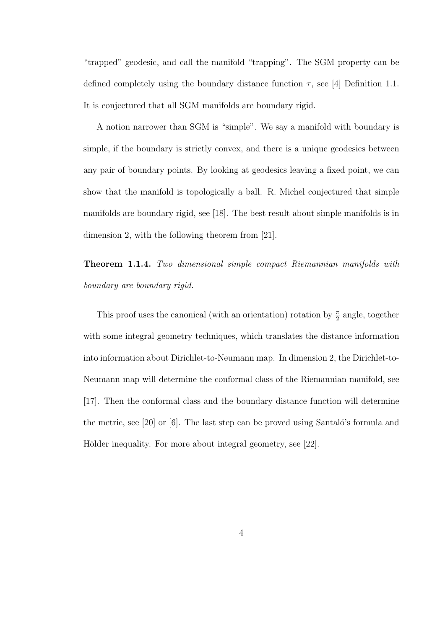"trapped" geodesic, and call the manifold "trapping". The SGM property can be defined completely using the boundary distance function  $\tau$ , see [4] Definition 1.1. It is conjectured that all SGM manifolds are boundary rigid.

A notion narrower than SGM is "simple". We say a manifold with boundary is simple, if the boundary is strictly convex, and there is a unique geodesics between any pair of boundary points. By looking at geodesics leaving a fixed point, we can show that the manifold is topologically a ball. R. Michel conjectured that simple manifolds are boundary rigid, see [18]. The best result about simple manifolds is in dimension 2, with the following theorem from [21].

Theorem 1.1.4. Two dimensional simple compact Riemannian manifolds with boundary are boundary rigid.

This proof uses the canonical (with an orientation) rotation by  $\frac{\pi}{2}$  angle, together with some integral geometry techniques, which translates the distance information into information about Dirichlet-to-Neumann map. In dimension 2, the Dirichlet-to-Neumann map will determine the conformal class of the Riemannian manifold, see [17]. Then the conformal class and the boundary distance function will determine the metric, see [20] or  $[6]$ . The last step can be proved using Santaló's formula and Hölder inequality. For more about integral geometry, see [22].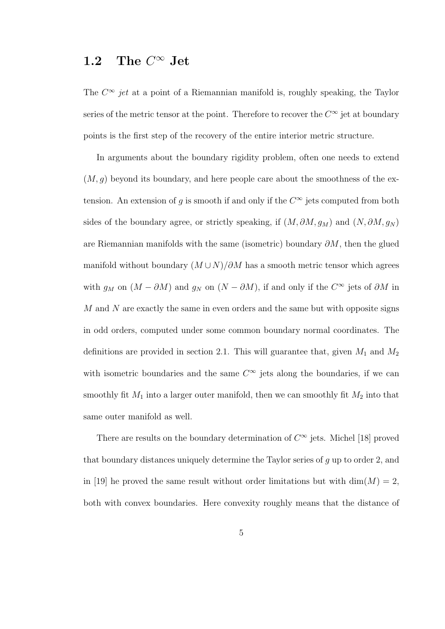#### 1.2 The  $C^{\infty}$  Jet

The  $C^{\infty}$  jet at a point of a Riemannian manifold is, roughly speaking, the Taylor series of the metric tensor at the point. Therefore to recover the  $C^{\infty}$  jet at boundary points is the first step of the recovery of the entire interior metric structure.

In arguments about the boundary rigidity problem, often one needs to extend  $(M, q)$  beyond its boundary, and here people care about the smoothness of the extension. An extension of g is smooth if and only if the  $C^{\infty}$  jets computed from both sides of the boundary agree, or strictly speaking, if  $(M, \partial M, g_M)$  and  $(N, \partial M, g_N)$ are Riemannian manifolds with the same (isometric) boundary  $\partial M$ , then the glued manifold without boundary  $(M \cup N)/\partial M$  has a smooth metric tensor which agrees with  $g_M$  on  $(M - \partial M)$  and  $g_N$  on  $(N - \partial M)$ , if and only if the  $C^{\infty}$  jets of  $\partial M$  in M and N are exactly the same in even orders and the same but with opposite signs in odd orders, computed under some common boundary normal coordinates. The definitions are provided in section 2.1. This will guarantee that, given  $M_1$  and  $M_2$ with isometric boundaries and the same  $C^{\infty}$  jets along the boundaries, if we can smoothly fit  $M_1$  into a larger outer manifold, then we can smoothly fit  $M_2$  into that same outer manifold as well.

There are results on the boundary determination of  $C^{\infty}$  jets. Michel [18] proved that boundary distances uniquely determine the Taylor series of g up to order 2, and in [19] he proved the same result without order limitations but with  $\dim(M) = 2$ , both with convex boundaries. Here convexity roughly means that the distance of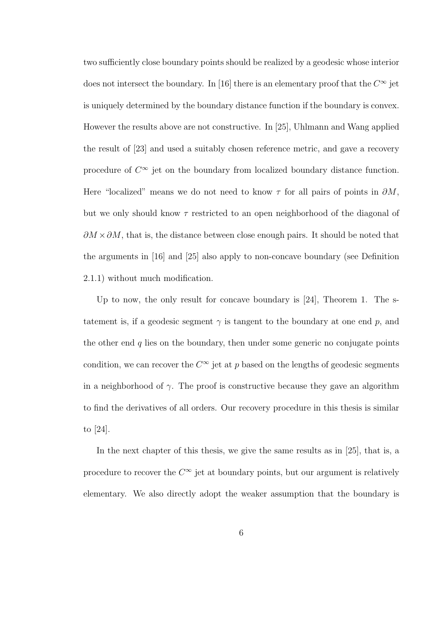two sufficiently close boundary points should be realized by a geodesic whose interior does not intersect the boundary. In [16] there is an elementary proof that the  $C^{\infty}$  jet is uniquely determined by the boundary distance function if the boundary is convex. However the results above are not constructive. In [25], Uhlmann and Wang applied the result of [23] and used a suitably chosen reference metric, and gave a recovery procedure of  $C^{\infty}$  jet on the boundary from localized boundary distance function. Here "localized" means we do not need to know  $\tau$  for all pairs of points in  $\partial M$ , but we only should know  $\tau$  restricted to an open neighborhood of the diagonal of  $\partial M \times \partial M$ , that is, the distance between close enough pairs. It should be noted that the arguments in [16] and [25] also apply to non-concave boundary (see Definition 2.1.1) without much modification.

Up to now, the only result for concave boundary is [24], Theorem 1. The statement is, if a geodesic segment  $\gamma$  is tangent to the boundary at one end p, and the other end  $q$  lies on the boundary, then under some generic no conjugate points condition, we can recover the  $C^{\infty}$  jet at p based on the lengths of geodesic segments in a neighborhood of  $\gamma$ . The proof is constructive because they gave an algorithm to find the derivatives of all orders. Our recovery procedure in this thesis is similar to [24].

In the next chapter of this thesis, we give the same results as in [25], that is, a procedure to recover the  $C^{\infty}$  jet at boundary points, but our argument is relatively elementary. We also directly adopt the weaker assumption that the boundary is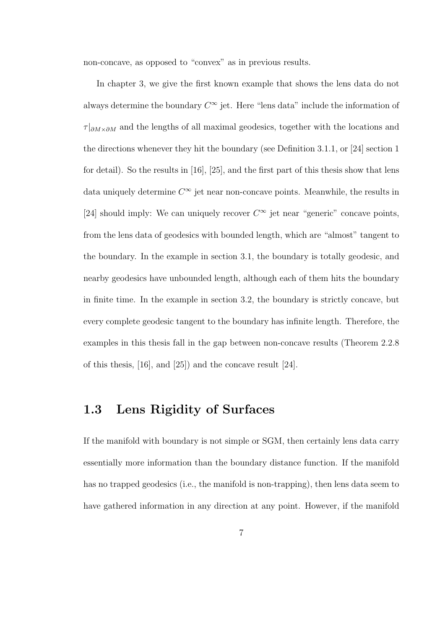non-concave, as opposed to "convex" as in previous results.

In chapter 3, we give the first known example that shows the lens data do not always determine the boundary  $C^{\infty}$  jet. Here "lens data" include the information of  $\tau|_{\partial M\times\partial M}$  and the lengths of all maximal geodesics, together with the locations and the directions whenever they hit the boundary (see Definition 3.1.1, or [24] section 1 for detail). So the results in [16], [25], and the first part of this thesis show that lens data uniquely determine  $C^{\infty}$  jet near non-concave points. Meanwhile, the results in [24] should imply: We can uniquely recover  $C^{\infty}$  jet near "generic" concave points, from the lens data of geodesics with bounded length, which are "almost" tangent to the boundary. In the example in section 3.1, the boundary is totally geodesic, and nearby geodesics have unbounded length, although each of them hits the boundary in finite time. In the example in section 3.2, the boundary is strictly concave, but every complete geodesic tangent to the boundary has infinite length. Therefore, the examples in this thesis fall in the gap between non-concave results (Theorem 2.2.8 of this thesis, [16], and [25]) and the concave result [24].

#### 1.3 Lens Rigidity of Surfaces

If the manifold with boundary is not simple or SGM, then certainly lens data carry essentially more information than the boundary distance function. If the manifold has no trapped geodesics (i.e., the manifold is non-trapping), then lens data seem to have gathered information in any direction at any point. However, if the manifold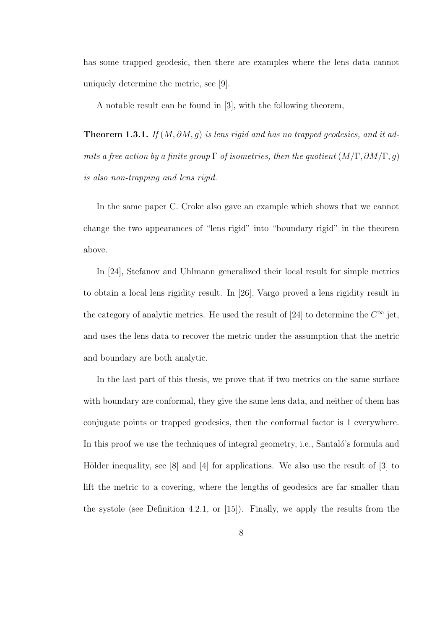has some trapped geodesic, then there are examples where the lens data cannot uniquely determine the metric, see [9].

A notable result can be found in [3], with the following theorem,

Theorem 1.3.1. If  $(M, \partial M, g)$  is lens rigid and has no trapped geodesics, and it admits a free action by a finite group  $\Gamma$  of isometries, then the quotient  $(M/\Gamma, \partial M/\Gamma, g)$ is also non-trapping and lens rigid.

In the same paper C. Croke also gave an example which shows that we cannot change the two appearances of "lens rigid" into "boundary rigid" in the theorem above.

In [24], Stefanov and Uhlmann generalized their local result for simple metrics to obtain a local lens rigidity result. In [26], Vargo proved a lens rigidity result in the category of analytic metrics. He used the result of [24] to determine the  $C^{\infty}$  jet, and uses the lens data to recover the metric under the assumption that the metric and boundary are both analytic.

In the last part of this thesis, we prove that if two metrics on the same surface with boundary are conformal, they give the same lens data, and neither of them has conjugate points or trapped geodesics, then the conformal factor is 1 everywhere. In this proof we use the techniques of integral geometry, i.e., Santaló's formula and Hölder inequality, see  $[8]$  and  $[4]$  for applications. We also use the result of  $[3]$  to lift the metric to a covering, where the lengths of geodesics are far smaller than the systole (see Definition 4.2.1, or  $|15|$ ). Finally, we apply the results from the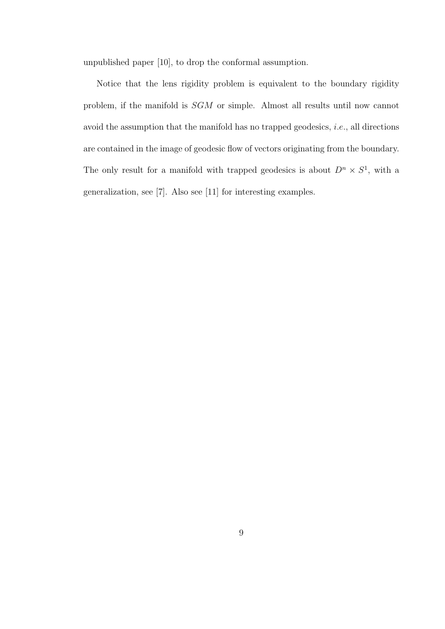unpublished paper [10], to drop the conformal assumption.

Notice that the lens rigidity problem is equivalent to the boundary rigidity problem, if the manifold is SGM or simple. Almost all results until now cannot avoid the assumption that the manifold has no trapped geodesics, i.e., all directions are contained in the image of geodesic flow of vectors originating from the boundary. The only result for a manifold with trapped geodesics is about  $D^n \times S^1$ , with a generalization, see [7]. Also see [11] for interesting examples.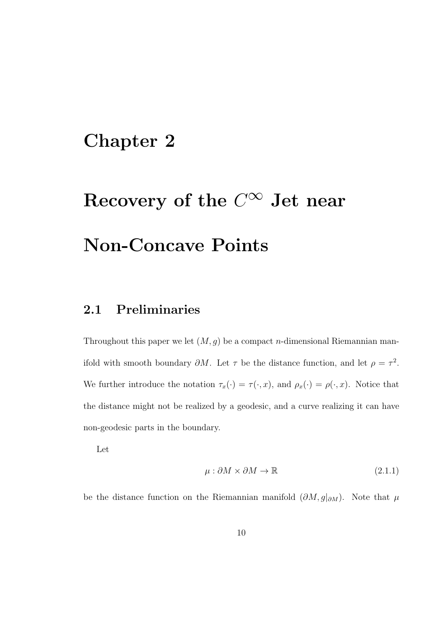### Chapter 2

# Recovery of the  $C^\infty$  Jet near Non-Concave Points

#### 2.1 Preliminaries

Throughout this paper we let  $(M, g)$  be a compact *n*-dimensional Riemannian manifold with smooth boundary  $\partial M$ . Let  $\tau$  be the distance function, and let  $\rho = \tau^2$ . We further introduce the notation  $\tau_x(\cdot) = \tau(\cdot, x)$ , and  $\rho_x(\cdot) = \rho(\cdot, x)$ . Notice that the distance might not be realized by a geodesic, and a curve realizing it can have non-geodesic parts in the boundary.

Let

$$
\mu: \partial M \times \partial M \to \mathbb{R} \tag{2.1.1}
$$

be the distance function on the Riemannian manifold  $(\partial M, g|_{\partial M})$ . Note that  $\mu$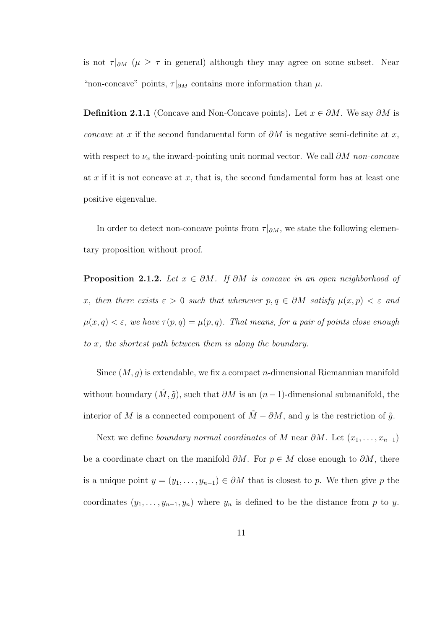is not  $\tau |_{\partial M}$  ( $\mu \geq \tau$  in general) although they may agree on some subset. Near "non-concave" points,  $\tau|_{\partial M}$  contains more information than  $\mu$ .

**Definition 2.1.1** (Concave and Non-Concave points). Let  $x \in \partial M$ . We say  $\partial M$  is concave at x if the second fundamental form of  $\partial M$  is negative semi-definite at x, with respect to  $\nu_x$  the inward-pointing unit normal vector. We call  $\partial M$  non-concave at  $x$  if it is not concave at  $x$ , that is, the second fundamental form has at least one positive eigenvalue.

In order to detect non-concave points from  $\tau|_{\partial M}$ , we state the following elementary proposition without proof.

**Proposition 2.1.2.** Let  $x \in \partial M$ . If  $\partial M$  is concave in an open neighborhood of x, then there exists  $\varepsilon > 0$  such that whenever  $p, q \in \partial M$  satisfy  $\mu(x, p) < \varepsilon$  and  $\mu(x,q) < \varepsilon$ , we have  $\tau(p,q) = \mu(p,q)$ . That means, for a pair of points close enough to x, the shortest path between them is along the boundary.

Since  $(M, g)$  is extendable, we fix a compact *n*-dimensional Riemannian manifold without boundary  $(\tilde{M}, \tilde{g})$ , such that  $\partial M$  is an  $(n-1)$ -dimensional submanifold, the interior of M is a connected component of  $\tilde{M} - \partial M$ , and g is the restriction of  $\tilde{g}$ .

Next we define boundary normal coordinates of M near  $\partial M$ . Let  $(x_1, \ldots, x_{n-1})$ be a coordinate chart on the manifold  $\partial M$ . For  $p \in M$  close enough to  $\partial M$ , there is a unique point  $y = (y_1, \ldots, y_{n-1}) \in \partial M$  that is closest to p. We then give p the coordinates  $(y_1, \ldots, y_{n-1}, y_n)$  where  $y_n$  is defined to be the distance from p to y.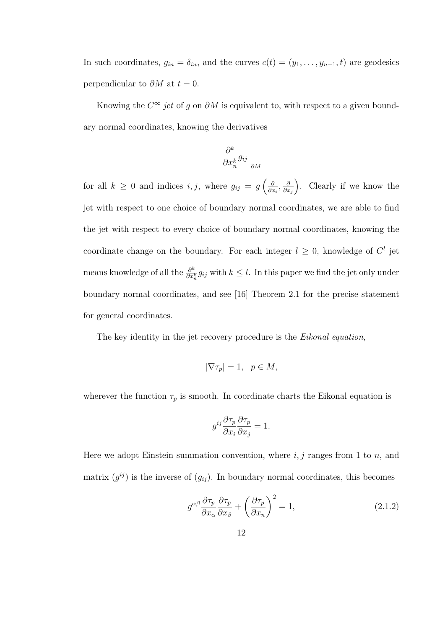In such coordinates,  $g_{in} = \delta_{in}$ , and the curves  $c(t) = (y_1, \ldots, y_{n-1}, t)$  are geodesics perpendicular to  $\partial M$  at  $t = 0$ .

Knowing the  $C^{\infty}$  jet of g on  $\partial M$  is equivalent to, with respect to a given boundary normal coordinates, knowing the derivatives

$$
\left.\frac{\partial^k}{\partial x_n^k}g_{ij}\right|_{\partial M}
$$

for all  $k \geq 0$  and indices  $i, j$ , where  $g_{ij} = g\left(\frac{\delta}{\partial n}\right)$  $\frac{\partial}{\partial x_i}, \frac{\partial}{\partial x_i}$  $\partial x_j$  . Clearly if we know the jet with respect to one choice of boundary normal coordinates, we are able to find the jet with respect to every choice of boundary normal coordinates, knowing the coordinate change on the boundary. For each integer  $l \geq 0$ , knowledge of  $C^{l}$  jet means knowledge of all the  $\frac{\partial^k}{\partial x^k}$  $\frac{\partial^{\kappa}}{\partial x_{n}^{k}} g_{ij}$  with  $k \leq l$ . In this paper we find the jet only under boundary normal coordinates, and see [16] Theorem 2.1 for the precise statement for general coordinates.

The key identity in the jet recovery procedure is the *Eikonal equation*,

$$
|\nabla \tau_p|=1, \ \ p\in M,
$$

wherever the function  $\tau_p$  is smooth. In coordinate charts the Eikonal equation is

$$
g^{ij}\frac{\partial \tau_p}{\partial x_i}\frac{\partial \tau_p}{\partial x_j} = 1.
$$

Here we adopt Einstein summation convention, where  $i, j$  ranges from 1 to n, and matrix  $(g^{ij})$  is the inverse of  $(g_{ij})$ . In boundary normal coordinates, this becomes

$$
g^{\alpha\beta} \frac{\partial \tau_p}{\partial x_\alpha} \frac{\partial \tau_p}{\partial x_\beta} + \left(\frac{\partial \tau_p}{\partial x_n}\right)^2 = 1, \tag{2.1.2}
$$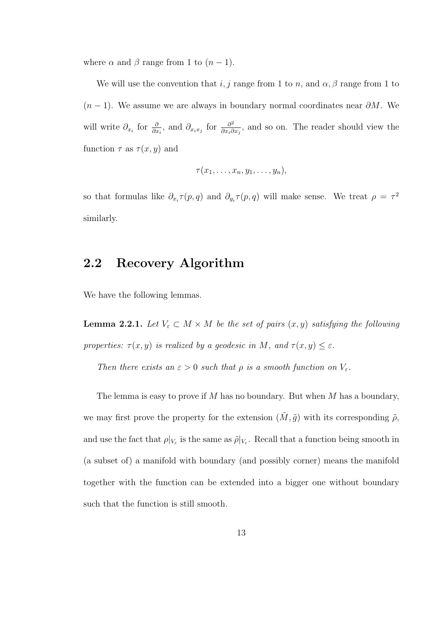where  $\alpha$  and  $\beta$  range from 1 to  $(n-1)$ .

We will use the convention that  $i, j$  range from 1 to n, and  $\alpha, \beta$  range from 1 to  $(n-1)$ . We assume we are always in boundary normal coordinates near  $\partial M$ . We will write  $\partial_{x_i}$  for  $\frac{\partial}{\partial x_i}$ , and  $\partial_{x_ix_j}$  for  $\frac{\partial^2}{\partial x_i \partial x_j}$  $\frac{\partial^2}{\partial x_i \partial x_j}$ , and so on. The reader should view the function  $\tau$  as  $\tau(x, y)$  and

$$
\tau(x_1,\ldots,x_n,y_1,\ldots,y_n),
$$

so that formulas like  $\partial_{x_i} \tau(p,q)$  and  $\partial_{y_i} \tau(p,q)$  will make sense. We treat  $\rho = \tau^2$ similarly.

#### 2.2 Recovery Algorithm

We have the following lemmas.

**Lemma 2.2.1.** Let  $V_{\varepsilon} \subset M \times M$  be the set of pairs  $(x, y)$  satisfying the following properties:  $\tau(x, y)$  is realized by a geodesic in M, and  $\tau(x, y) \leq \varepsilon$ .

Then there exists an  $\varepsilon > 0$  such that  $\rho$  is a smooth function on  $V_{\varepsilon}$ .

The lemma is easy to prove if M has no boundary. But when M has a boundary, we may first prove the property for the extension  $(\tilde{M}, \tilde{g})$  with its corresponding  $\tilde{\rho}$ , and use the fact that  $\rho|_{V_{\varepsilon}}$  is the same as  $\tilde{\rho}|_{V_{\varepsilon}}$ . Recall that a function being smooth in (a subset of) a manifold with boundary (and possibly corner) means the manifold together with the function can be extended into a bigger one without boundary such that the function is still smooth.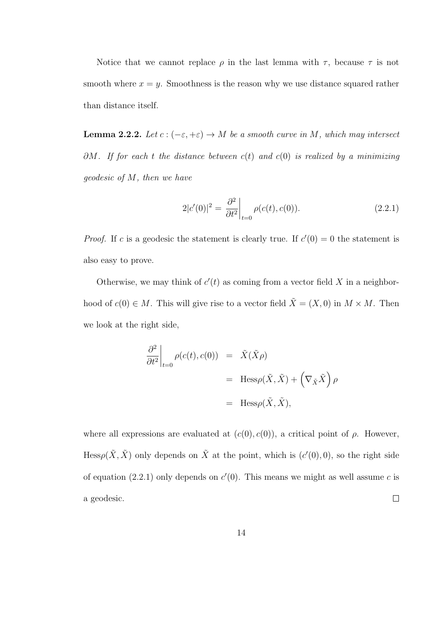Notice that we cannot replace  $\rho$  in the last lemma with  $\tau$ , because  $\tau$  is not smooth where  $x = y$ . Smoothness is the reason why we use distance squared rather than distance itself.

**Lemma 2.2.2.** Let  $c : (-\varepsilon, +\varepsilon) \to M$  be a smooth curve in M, which may intersect  $\partial M$ . If for each t the distance between  $c(t)$  and  $c(0)$  is realized by a minimizing geodesic of M, then we have

$$
2|c'(0)|^2 = \frac{\partial^2}{\partial t^2}\bigg|_{t=0} \rho(c(t), c(0)).
$$
\n(2.2.1)

*Proof.* If c is a geodesic the statement is clearly true. If  $c'(0) = 0$  the statement is also easy to prove.

Otherwise, we may think of  $c'(t)$  as coming from a vector field X in a neighborhood of  $c(0) \in M$ . This will give rise to a vector field  $\tilde{X} = (X, 0)$  in  $M \times M$ . Then we look at the right side,

$$
\frac{\partial^2}{\partial t^2}\Big|_{t=0} \rho(c(t), c(0)) = \tilde{X}(\tilde{X}\rho)
$$
  
=  $\text{Hess}_{\rho}(\tilde{X}, \tilde{X}) + (\nabla_{\tilde{X}}\tilde{X}) \rho$   
=  $\text{Hess}_{\rho}(\tilde{X}, \tilde{X}),$ 

where all expressions are evaluated at  $(c(0), c(0))$ , a critical point of  $\rho$ . However, Hess $\rho(\tilde{X}, \tilde{X})$  only depends on  $\tilde{X}$  at the point, which is  $(c'(0), 0)$ , so the right side of equation (2.2.1) only depends on  $c'(0)$ . This means we might as well assume c is  $\Box$ a geodesic.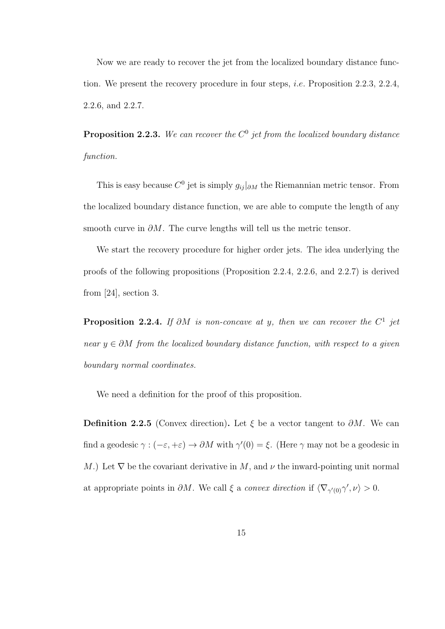Now we are ready to recover the jet from the localized boundary distance function. We present the recovery procedure in four steps, i.e. Proposition 2.2.3, 2.2.4, 2.2.6, and 2.2.7.

**Proposition 2.2.3.** We can recover the  $C^0$  jet from the localized boundary distance function.

This is easy because  $C^0$  jet is simply  $g_{ij}|_{\partial M}$  the Riemannian metric tensor. From the localized boundary distance function, we are able to compute the length of any smooth curve in  $\partial M$ . The curve lengths will tell us the metric tensor.

We start the recovery procedure for higher order jets. The idea underlying the proofs of the following propositions (Proposition 2.2.4, 2.2.6, and 2.2.7) is derived from [24], section 3.

**Proposition 2.2.4.** If  $\partial M$  is non-concave at y, then we can recover the  $C^1$  jet near  $y \in \partial M$  from the localized boundary distance function, with respect to a given boundary normal coordinates.

We need a definition for the proof of this proposition.

**Definition 2.2.5** (Convex direction). Let  $\xi$  be a vector tangent to  $\partial M$ . We can find a geodesic  $\gamma : (-\varepsilon, +\varepsilon) \to \partial M$  with  $\gamma'(0) = \xi$ . (Here  $\gamma$  may not be a geodesic in M.) Let  $\nabla$  be the covariant derivative in M, and  $\nu$  the inward-pointing unit normal at appropriate points in  $\partial M$ . We call  $\xi$  a convex direction if  $\langle \nabla_{\gamma'(0)} \gamma', \nu \rangle > 0$ .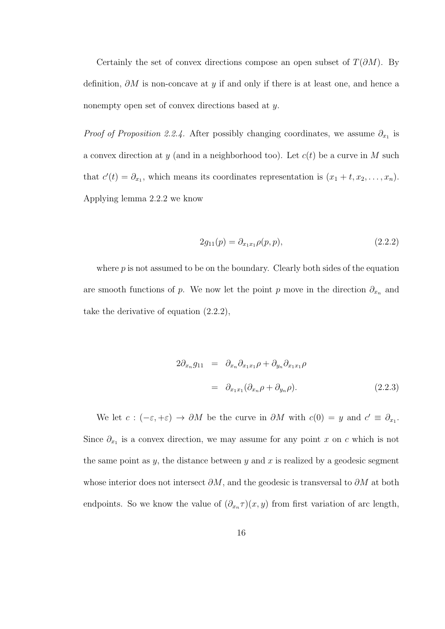Certainly the set of convex directions compose an open subset of  $T(\partial M)$ . By definition,  $\partial M$  is non-concave at y if and only if there is at least one, and hence a nonempty open set of convex directions based at y.

*Proof of Proposition 2.2.4*. After possibly changing coordinates, we assume  $\partial_{x_1}$  is a convex direction at y (and in a neighborhood too). Let  $c(t)$  be a curve in M such that  $c'(t) = \partial_{x_1}$ , which means its coordinates representation is  $(x_1 + t, x_2, \ldots, x_n)$ . Applying lemma 2.2.2 we know

$$
2g_{11}(p) = \partial_{x_1x_1} \rho(p, p), \qquad (2.2.2)
$$

where  $p$  is not assumed to be on the boundary. Clearly both sides of the equation are smooth functions of p. We now let the point p move in the direction  $\partial_{x_n}$  and take the derivative of equation (2.2.2),

$$
2\partial_{x_n} g_{11} = \partial_{x_n} \partial_{x_1 x_1} \rho + \partial_{y_n} \partial_{x_1 x_1} \rho
$$
  

$$
= \partial_{x_1 x_1} (\partial_{x_n} \rho + \partial_{y_n} \rho).
$$
 (2.2.3)

We let  $c:(-\varepsilon, +\varepsilon) \to \partial M$  be the curve in  $\partial M$  with  $c(0) = y$  and  $c' \equiv \partial_{x_1}$ . Since  $\partial_{x_1}$  is a convex direction, we may assume for any point x on c which is not the same point as  $y$ , the distance between  $y$  and  $x$  is realized by a geodesic segment whose interior does not intersect  $\partial M$ , and the geodesic is transversal to  $\partial M$  at both endpoints. So we know the value of  $(\partial_{x_n}\tau)(x, y)$  from first variation of arc length,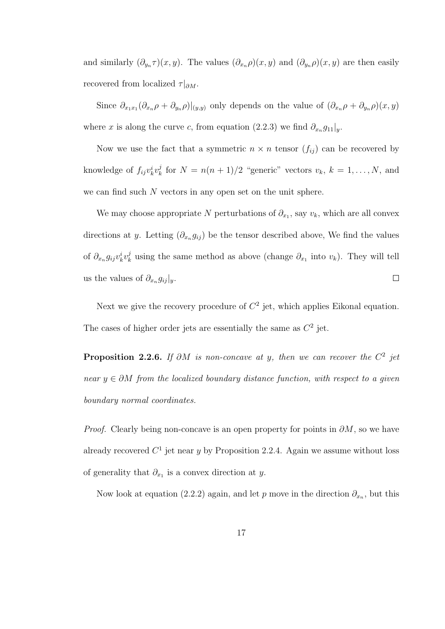and similarly  $(\partial_{y_n}\tau)(x, y)$ . The values  $(\partial_{x_n}\rho)(x, y)$  and  $(\partial_{y_n}\rho)(x, y)$  are then easily recovered from localized  $\tau|_{\partial M}$ .

Since  $\partial_{x_1x_1}(\partial_{x_n}\rho+\partial_{y_n}\rho)|_{(y,y)}$  only depends on the value of  $(\partial_{x_n}\rho+\partial_{y_n}\rho)(x,y)$ where x is along the curve c, from equation (2.2.3) we find  $\partial_{x_n} g_{11}|_y$ .

Now we use the fact that a symmetric  $n \times n$  tensor  $(f_{ij})$  can be recovered by knowledge of  $f_{ij}v_k^iv_k^j$  $\binom{n}{k}$  for  $N = n(n+1)/2$  "generic" vectors  $v_k$ ,  $k = 1, ..., N$ , and we can find such  $N$  vectors in any open set on the unit sphere.

We may choose appropriate N perturbations of  $\partial_{x_1}$ , say  $v_k$ , which are all convex directions at y. Letting  $(\partial_{x_n} g_{ij})$  be the tensor described above, We find the values of  $\partial_{x_n} g_{ij} v^i_k v^j_k$ <sup>*l*</sup><sub>k</sub> using the same method as above (change  $\partial_{x_1}$  into  $v_k$ ). They will tell us the values of  $\partial_{x_n} g_{ij} |_{y}$ .  $\Box$ 

Next we give the recovery procedure of  $C<sup>2</sup>$  jet, which applies Eikonal equation. The cases of higher order jets are essentially the same as  $C^2$  jet.

**Proposition 2.2.6.** If  $\partial M$  is non-concave at y, then we can recover the  $C^2$  jet near  $y \in \partial M$  from the localized boundary distance function, with respect to a given boundary normal coordinates.

*Proof.* Clearly being non-concave is an open property for points in  $\partial M$ , so we have already recovered  $C<sup>1</sup>$  jet near y by Proposition 2.2.4. Again we assume without loss of generality that  $\partial_{x_1}$  is a convex direction at y.

Now look at equation (2.2.2) again, and let p move in the direction  $\partial_{x_n}$ , but this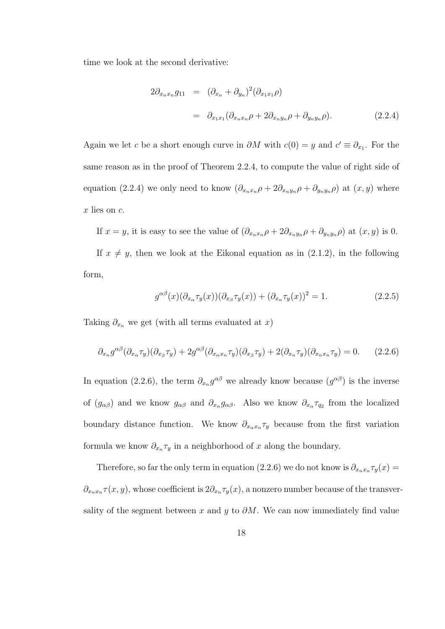time we look at the second derivative:

$$
2\partial_{x_nx_n}g_{11} = (\partial_{x_n} + \partial_{y_n})^2(\partial_{x_1x_1}\rho)
$$
  
=  $\partial_{x_1x_1}(\partial_{x_nx_n}\rho + 2\partial_{x_ny_n}\rho + \partial_{y_ny_n}\rho).$  (2.2.4)

Again we let c be a short enough curve in  $\partial M$  with  $c(0) = y$  and  $c' \equiv \partial_{x_1}$ . For the same reason as in the proof of Theorem 2.2.4, to compute the value of right side of equation (2.2.4) we only need to know  $(\partial_{x_n x_n} \rho + 2\partial_{x_n y_n} \rho + \partial_{y_n y_n} \rho)$  at  $(x, y)$  where x lies on c.

If  $x = y$ , it is easy to see the value of  $(\partial_{x_n x_n} \rho + 2\partial_{x_n y_n} \rho + \partial_{y_n y_n} \rho)$  at  $(x, y)$  is 0. If  $x \neq y$ , then we look at the Eikonal equation as in (2.1.2), in the following form,

$$
g^{\alpha\beta}(x)(\partial_{x_{\alpha}}\tau_y(x))(\partial_{x_{\beta}}\tau_y(x)) + (\partial_{x_n}\tau_y(x))^2 = 1.
$$
 (2.2.5)

Taking  $\partial_{x_n}$  we get (with all terms evaluated at x)

$$
\partial_{x_n} g^{\alpha\beta}(\partial_{x_\alpha}\tau_y)(\partial_{x_\beta}\tau_y) + 2g^{\alpha\beta}(\partial_{x_\alpha x_n}\tau_y)(\partial_{x_\beta}\tau_y) + 2(\partial_{x_n}\tau_y)(\partial_{x_n x_n}\tau_y) = 0. \qquad (2.2.6)
$$

In equation (2.2.6), the term  $\partial_{x_n} g^{\alpha\beta}$  we already know because  $(g^{\alpha\beta})$  is the inverse of  $(g_{\alpha\beta})$  and we know  $g_{\alpha\beta}$  and  $\partial_{x_n} g_{\alpha\beta}$ . Also we know  $\partial_{x_\alpha} \tau_{q_2}$  from the localized boundary distance function. We know  $\partial_{x_\alpha x_n} \tau_y$  because from the first variation formula we know  $\partial_{x_n} \tau_y$  in a neighborhood of x along the boundary.

Therefore, so far the only term in equation (2.2.6) we do not know is  $\partial_{x_n x_n} \tau_y(x) =$  $\partial_{x_nx_n}\tau(x,y)$ , whose coefficient is  $2\partial_{x_n}\tau_y(x)$ , a nonzero number because of the transversality of the segment between x and y to  $\partial M$ . We can now immediately find value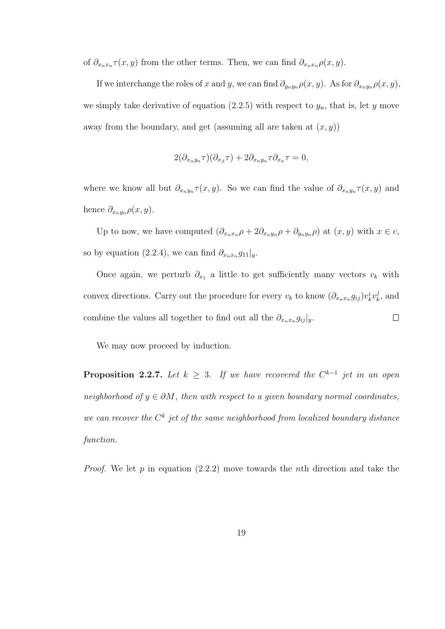of  $\partial_{x_nx_n}\tau(x,y)$  from the other terms. Then, we can find  $\partial_{x_nx_n}\rho(x,y)$ .

If we interchange the roles of x and y, we can find  $\partial_{y_ny_n}\rho(x, y)$ . As for  $\partial_{x_ny_n}\rho(x, y)$ , we simply take derivative of equation  $(2.2.5)$  with respect to  $y_n$ , that is, let y move away from the boundary, and get (assuming all are taken at  $(x, y)$ )

$$
2(\partial_{x_\alpha y_n}\tau)(\partial_{x_\beta}\tau) + 2\partial_{x_n y_n}\tau \partial_{x_n}\tau = 0,
$$

where we know all but  $\partial_{x_ny_n}\tau(x,y)$ . So we can find the value of  $\partial_{x_ny_n}\tau(x,y)$  and hence  $\partial_{x_ny_n}\rho(x,y)$ .

Up to now, we have computed  $(\partial_{x_nx_n}\rho + 2\partial_{x_ny_n}\rho + \partial_{y_ny_n}\rho)$  at  $(x, y)$  with  $x \in c$ , so by equation (2.2.4), we can find  $\partial_{x_nx_n}g_{11}|_y$ .

Once again, we perturb  $\partial_{x_1}$  a little to get sufficiently many vectors  $v_k$  with convex directions. Carry out the procedure for every  $v_k$  to know  $(\partial_{x_n x_n} g_{ij}) v_k^i v_k^j$  $k^j$ , and combine the values all together to find out all the  $\partial_{x_n x_n} g_{ij} |_{y}$ .  $\Box$ 

We may now proceed by induction.

**Proposition 2.2.7.** Let  $k \geq 3$ . If we have recovered the  $C^{k-1}$  jet in an open neighborhood of  $y \in \partial M$ , then with respect to a given boundary normal coordinates, we can recover the  $C^k$  jet of the same neighborhood from localized boundary distance function.

*Proof.* We let p in equation  $(2.2.2)$  move towards the nth direction and take the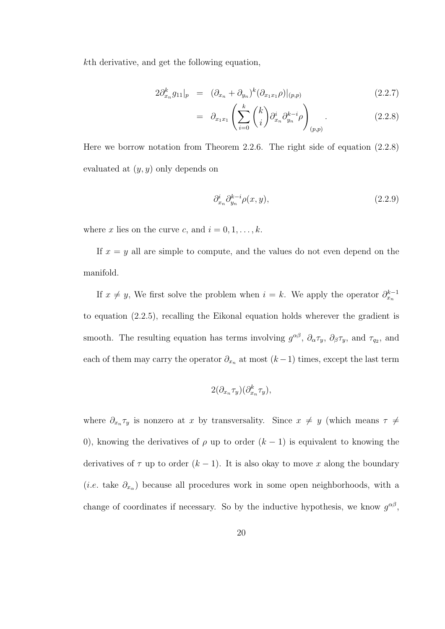kth derivative, and get the following equation,

$$
2\partial_{x_n}^k g_{11}|_p = (\partial_{x_n} + \partial_{y_n})^k (\partial_{x_1 x_1} \rho)|_{(p,p)} \qquad (2.2.7)
$$

$$
= \partial_{x_1x_1} \left( \sum_{i=0}^k \binom{k}{i} \partial_{x_n}^i \partial_{y_n}^{k-i} \rho \right)_{(p,p)}.
$$
 (2.2.8)

Here we borrow notation from Theorem 2.2.6. The right side of equation (2.2.8) evaluated at  $(y, y)$  only depends on

$$
\partial_{x_n}^i \partial_{y_n}^{k-i} \rho(x, y), \tag{2.2.9}
$$

where x lies on the curve c, and  $i = 0, 1, \ldots, k$ .

If  $x = y$  all are simple to compute, and the values do not even depend on the manifold.

If  $x \neq y$ , We first solve the problem when  $i = k$ . We apply the operator  $\partial_{x_n}^{k-1}$ to equation (2.2.5), recalling the Eikonal equation holds wherever the gradient is smooth. The resulting equation has terms involving  $g^{\alpha\beta}$ ,  $\partial_{\alpha}\tau_y$ ,  $\partial_{\beta}\tau_y$ , and  $\tau_{q_2}$ , and each of them may carry the operator  $\partial_{x_n}$  at most  $(k-1)$  times, except the last term

$$
2(\partial_{x_n}\tau_y)(\partial_{x_n}^k \tau_y),
$$

where  $\partial_{x_n} \tau_y$  is nonzero at x by transversality. Since  $x \neq y$  (which means  $\tau \neq$ 0), knowing the derivatives of  $\rho$  up to order  $(k-1)$  is equivalent to knowing the derivatives of  $\tau$  up to order  $(k-1)$ . It is also okay to move x along the boundary (*i.e.* take  $\partial_{x_\alpha}$ ) because all procedures work in some open neighborhoods, with a change of coordinates if necessary. So by the inductive hypothesis, we know  $g^{\alpha\beta}$ ,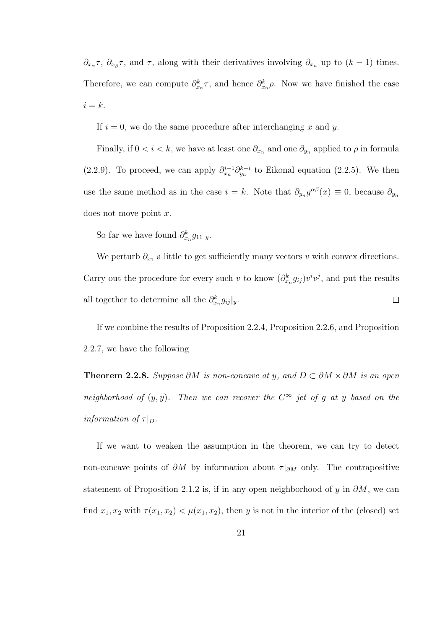$\partial_{x_\alpha}\tau$ ,  $\partial_{x_\beta}\tau$ , and  $\tau$ , along with their derivatives involving  $\partial_{x_n}$  up to  $(k-1)$  times. Therefore, we can compute  $\partial_{x_n}^k \tau$ , and hence  $\partial_{x_n}^k \rho$ . Now we have finished the case  $i = k$ .

If  $i = 0$ , we do the same procedure after interchanging x and y.

Finally, if  $0 < i < k$ , we have at least one  $\partial_{x_n}$  and one  $\partial_{y_n}$  applied to  $\rho$  in formula (2.2.9). To proceed, we can apply  $\partial_{x_n}^{i-1} \partial_{y_n}^{k-i}$  to Eikonal equation (2.2.5). We then use the same method as in the case  $i = k$ . Note that  $\partial_{y_n} g^{\alpha\beta}(x) \equiv 0$ , because  $\partial_{y_n}$ does not move point x.

So far we have found  $\partial_{x_n}^k g_{11}|_y$ .

We perturb  $\partial_{x_1}$  a little to get sufficiently many vectors v with convex directions. Carry out the procedure for every such v to know  $(\partial_{x_n}^k g_{ij})v^iv^j$ , and put the results all together to determine all the  $\partial_{x_n}^k g_{ij}|_y$ .  $\Box$ 

If we combine the results of Proposition 2.2.4, Proposition 2.2.6, and Proposition 2.2.7, we have the following

**Theorem 2.2.8.** Suppose ∂M is non-concave at y, and  $D \subset \partial M \times \partial M$  is an open neighborhood of  $(y, y)$ . Then we can recover the  $C^{\infty}$  jet of g at y based on the information of  $\tau|_D$ .

If we want to weaken the assumption in the theorem, we can try to detect non-concave points of  $\partial M$  by information about  $\tau|_{\partial M}$  only. The contrapositive statement of Proposition 2.1.2 is, if in any open neighborhood of y in  $\partial M$ , we can find  $x_1, x_2$  with  $\tau(x_1, x_2) < \mu(x_1, x_2)$ , then y is not in the interior of the (closed) set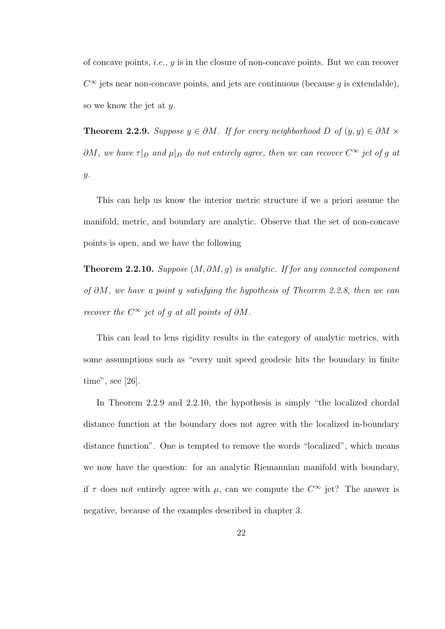of concave points, *i.e.*,  $y$  is in the closure of non-concave points. But we can recover  $C^{\infty}$  jets near non-concave points, and jets are continuous (because g is extendable), so we know the jet at y.

**Theorem 2.2.9.** Suppose  $y \in \partial M$ . If for every neighborhood D of  $(y, y) \in \partial M \times$  $\partial M$ , we have  $\tau|_D$  and  $\mu|_D$  do not entirely agree, then we can recover  $C^{\infty}$  jet of g at  $y$ .

This can help us know the interior metric structure if we a priori assume the manifold, metric, and boundary are analytic. Observe that the set of non-concave points is open, and we have the following

Theorem 2.2.10. Suppose  $(M, \partial M, g)$  is analytic. If for any connected component of ∂M, we have a point y satisfying the hypothesis of Theorem 2.2.8, then we can recover the  $C^{\infty}$  jet of g at all points of  $\partial M$ .

This can lead to lens rigidity results in the category of analytic metrics, with some assumptions such as "every unit speed geodesic hits the boundary in finite time", see [26].

In Theorem 2.2.9 and 2.2.10, the hypothesis is simply "the localized chordal distance function at the boundary does not agree with the localized in-boundary distance function". One is tempted to remove the words "localized", which means we now have the question: for an analytic Riemannian manifold with boundary, if  $\tau$  does not entirely agree with  $\mu$ , can we compute the  $C^{\infty}$  jet? The answer is negative, because of the examples described in chapter 3.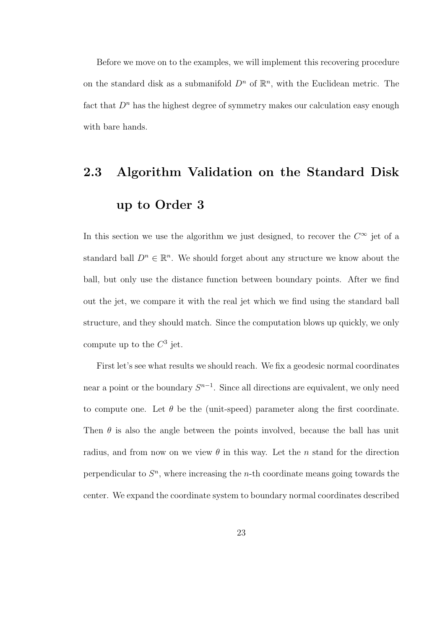Before we move on to the examples, we will implement this recovering procedure on the standard disk as a submanifold  $D^n$  of  $\mathbb{R}^n$ , with the Euclidean metric. The fact that  $D^n$  has the highest degree of symmetry makes our calculation easy enough with bare hands.

# 2.3 Algorithm Validation on the Standard Disk up to Order 3

In this section we use the algorithm we just designed, to recover the  $C^{\infty}$  jet of a standard ball  $D^n \in \mathbb{R}^n$ . We should forget about any structure we know about the ball, but only use the distance function between boundary points. After we find out the jet, we compare it with the real jet which we find using the standard ball structure, and they should match. Since the computation blows up quickly, we only compute up to the  $C^3$  jet.

First let's see what results we should reach. We fix a geodesic normal coordinates near a point or the boundary  $S^{n-1}$ . Since all directions are equivalent, we only need to compute one. Let  $\theta$  be the (unit-speed) parameter along the first coordinate. Then  $\theta$  is also the angle between the points involved, because the ball has unit radius, and from now on we view  $\theta$  in this way. Let the *n* stand for the direction perpendicular to  $S<sup>n</sup>$ , where increasing the *n*-th coordinate means going towards the center. We expand the coordinate system to boundary normal coordinates described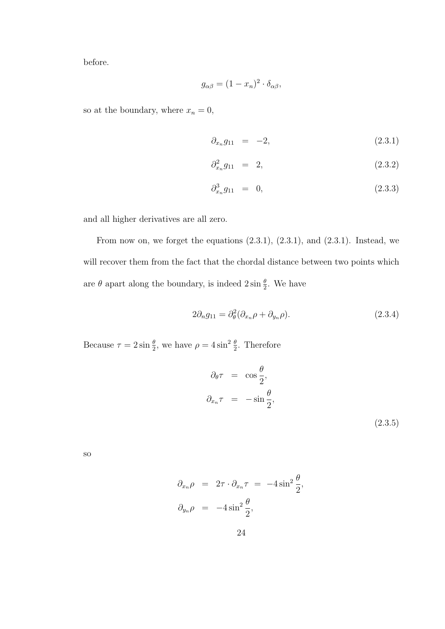before.

$$
g_{\alpha\beta} = (1 - x_n)^2 \cdot \delta_{\alpha\beta},
$$

so at the boundary, where  $x_n = 0$ ,

$$
\partial_{x_n} g_{11} = -2, \tag{2.3.1}
$$

$$
\partial_{x_n}^2 g_{11} = 2, \tag{2.3.2}
$$

$$
\partial_{x_n}^3 g_{11} = 0, \tag{2.3.3}
$$

and all higher derivatives are all zero.

From now on, we forget the equations  $(2.3.1)$ ,  $(2.3.1)$ , and  $(2.3.1)$ . Instead, we will recover them from the fact that the chordal distance between two points which are  $\theta$  apart along the boundary, is indeed  $2 \sin \frac{\theta}{2}$ . We have

$$
2\partial_n g_{11} = \partial_\theta^2 (\partial_{x_n} \rho + \partial_{y_n} \rho). \tag{2.3.4}
$$

Because  $\tau = 2 \sin \frac{\theta}{2}$ , we have  $\rho = 4 \sin^2 \frac{\theta}{2}$ . Therefore

$$
\partial_{\theta}\tau = \cos\frac{\theta}{2},
$$
  

$$
\partial_{x_n}\tau = -\sin\frac{\theta}{2},
$$
\n(2.3.5)

so

$$
\partial_{x_n} \rho = 2\tau \cdot \partial_{x_n} \tau = -4 \sin^2 \frac{\theta}{2},
$$
  

$$
\partial_{y_n} \rho = -4 \sin^2 \frac{\theta}{2},
$$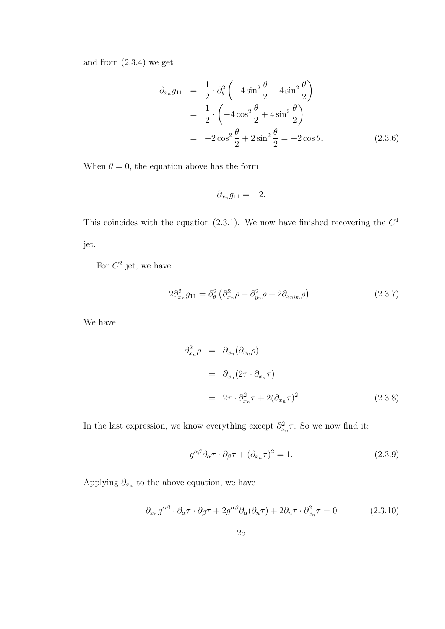and from (2.3.4) we get

$$
\partial_{x_n} g_{11} = \frac{1}{2} \cdot \partial_{\theta}^2 \left( -4 \sin^2 \frac{\theta}{2} - 4 \sin^2 \frac{\theta}{2} \right)
$$
  
\n
$$
= \frac{1}{2} \cdot \left( -4 \cos^2 \frac{\theta}{2} + 4 \sin^2 \frac{\theta}{2} \right)
$$
  
\n
$$
= -2 \cos^2 \frac{\theta}{2} + 2 \sin^2 \frac{\theta}{2} = -2 \cos \theta.
$$
 (2.3.6)

When  $\theta = 0$ , the equation above has the form

$$
\partial_{x_n} g_{11} = -2.
$$

This coincides with the equation  $(2.3.1)$ . We now have finished recovering the  $C<sup>1</sup>$ jet.

For  $C^2$  jet, we have

$$
2\partial_{x_n}^2 g_{11} = \partial_\theta^2 \left( \partial_{x_n}^2 \rho + \partial_{y_n}^2 \rho + 2\partial_{x_n y_n} \rho \right). \tag{2.3.7}
$$

We have

$$
\partial_{x_n}^2 \rho = \partial_{x_n} (\partial_{x_n} \rho)
$$
  
=  $\partial_{x_n} (2\tau \cdot \partial_{x_n} \tau)$   
=  $2\tau \cdot \partial_{x_n}^2 \tau + 2(\partial_{x_n} \tau)^2$  (2.3.8)

In the last expression, we know everything except  $\partial_{x_n}^2 \tau$ . So we now find it:

$$
g^{\alpha\beta}\partial_{\alpha}\tau \cdot \partial_{\beta}\tau + (\partial_{x_n}\tau)^2 = 1.
$$
\n(2.3.9)

Applying  $\partial_{x_n}$  to the above equation, we have

$$
\partial_{x_n} g^{\alpha \beta} \cdot \partial_{\alpha} \tau \cdot \partial_{\beta} \tau + 2g^{\alpha \beta} \partial_{\alpha} (\partial_n \tau) + 2 \partial_n \tau \cdot \partial_{x_n}^2 \tau = 0 \tag{2.3.10}
$$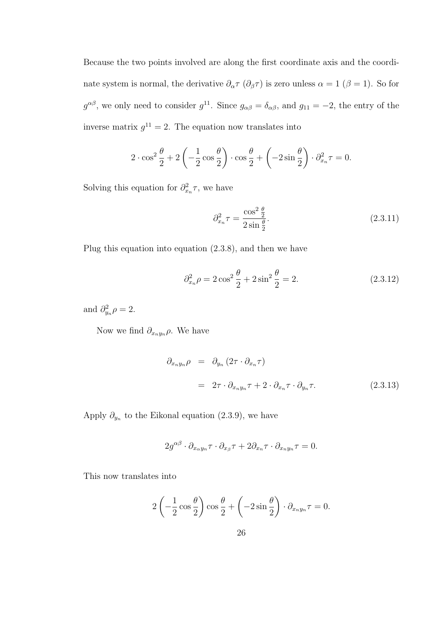Because the two points involved are along the first coordinate axis and the coordinate system is normal, the derivative  $\partial_{\alpha}\tau$  ( $\partial_{\beta}\tau$ ) is zero unless  $\alpha = 1$  ( $\beta = 1$ ). So for  $g^{\alpha\beta}$ , we only need to consider  $g^{11}$ . Since  $g_{\alpha\beta} = \delta_{\alpha\beta}$ , and  $g_{11} = -2$ , the entry of the inverse matrix  $g^{11} = 2$ . The equation now translates into

$$
2 \cdot \cos^2 \frac{\theta}{2} + 2 \left( -\frac{1}{2} \cos \frac{\theta}{2} \right) \cdot \cos \frac{\theta}{2} + \left( -2 \sin \frac{\theta}{2} \right) \cdot \partial_{x_n}^2 \tau = 0.
$$

Solving this equation for  $\partial_{x_n}^2 \tau$ , we have

$$
\partial_{x_n}^2 \tau = \frac{\cos^2 \frac{\theta}{2}}{2 \sin \frac{\theta}{2}}.\tag{2.3.11}
$$

Plug this equation into equation (2.3.8), and then we have

$$
\partial_{x_n}^2 \rho = 2\cos^2\frac{\theta}{2} + 2\sin^2\frac{\theta}{2} = 2. \tag{2.3.12}
$$

and  $\partial_{y_n}^2 \rho = 2$ .

Now we find  $\partial_{x_ny_n}\rho$ . We have

$$
\partial_{x_n y_n} \rho = \partial_{y_n} (2\tau \cdot \partial_{x_n} \tau)
$$
  
=  $2\tau \cdot \partial_{x_n y_n} \tau + 2 \cdot \partial_{x_n} \tau \cdot \partial_{y_n} \tau.$  (2.3.13)

Apply  $\partial_{y_n}$  to the Eikonal equation (2.3.9), we have

$$
2g^{\alpha\beta} \cdot \partial_{x_{\alpha}y_n}\tau \cdot \partial_{x_{\beta}}\tau + 2\partial_{x_n}\tau \cdot \partial_{x_ny_n}\tau = 0.
$$

This now translates into

$$
2\left(-\frac{1}{2}\cos\frac{\theta}{2}\right)\cos\frac{\theta}{2} + \left(-2\sin\frac{\theta}{2}\right)\cdot\partial_{x_ny_n}\tau = 0.
$$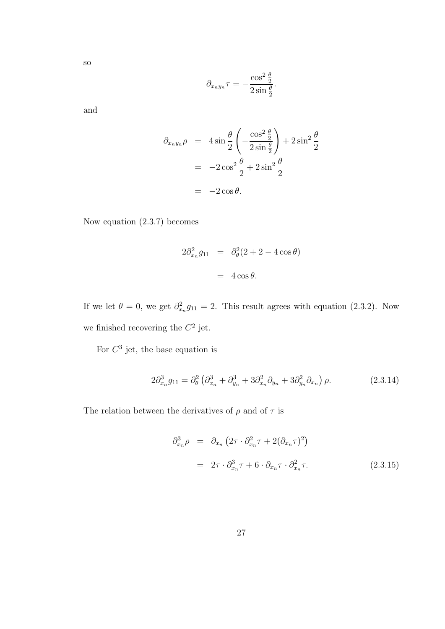so

$$
\partial_{x_n y_n} \tau = -\frac{\cos^2 \frac{\theta}{2}}{2 \sin \frac{\theta}{2}}.
$$

and

$$
\partial_{x_n y_n} \rho = 4 \sin \frac{\theta}{2} \left( -\frac{\cos^2 \frac{\theta}{2}}{2 \sin \frac{\theta}{2}} \right) + 2 \sin^2 \frac{\theta}{2}
$$

$$
= -2 \cos^2 \frac{\theta}{2} + 2 \sin^2 \frac{\theta}{2}
$$

$$
= -2 \cos \theta.
$$

Now equation (2.3.7) becomes

$$
2\partial_{x_n}^2 g_{11} = \partial_{\theta}^2 (2 + 2 - 4\cos\theta)
$$

$$
= 4\cos\theta.
$$

If we let  $\theta = 0$ , we get  $\partial_{x_n}^2 g_{11} = 2$ . This result agrees with equation (2.3.2). Now we finished recovering the  $C^2$  jet.

For  $C^3$  jet, the base equation is

$$
2\partial_{x_n}^3 g_{11} = \partial_{\theta}^2 \left( \partial_{x_n}^3 + \partial_{y_n}^3 + 3\partial_{x_n}^2 \partial_{y_n} + 3\partial_{y_n}^2 \partial_{x_n} \right) \rho. \tag{2.3.14}
$$

The relation between the derivatives of  $\rho$  and of  $\tau$  is

$$
\partial_{x_n}^3 \rho = \partial_{x_n} \left( 2\tau \cdot \partial_{x_n}^2 \tau + 2(\partial_{x_n} \tau)^2 \right)
$$
  
=  $2\tau \cdot \partial_{x_n}^3 \tau + 6 \cdot \partial_{x_n} \tau \cdot \partial_{x_n}^2 \tau.$  (2.3.15)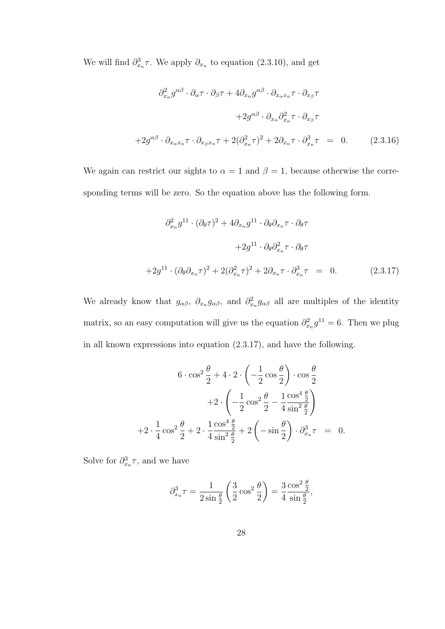We will find  $\partial_{x_n}^3 \tau$ . We apply  $\partial_{x_n}$  to equation (2.3.10), and get

$$
\partial_{x_n}^2 g^{\alpha \beta} \cdot \partial_{\alpha} \tau \cdot \partial_{\beta} \tau + 4 \partial_{x_n} g^{\alpha \beta} \cdot \partial_{x_\alpha x_n} \tau \cdot \partial_{x_\beta} \tau
$$

$$
+ 2g^{\alpha \beta} \cdot \partial_{x_\alpha} \partial_{x_n}^2 \tau \cdot \partial_{x_\beta} \tau
$$

$$
+ 2g^{\alpha \beta} \cdot \partial_{x_\alpha x_n} \tau \cdot \partial_{x_\beta x_n} \tau + 2(\partial_{x_n}^2 \tau)^2 + 2\partial_{x_n} \tau \cdot \partial_{x_n}^3 \tau = 0. \qquad (2.3.16)
$$

We again can restrict our sights to  $\alpha = 1$  and  $\beta = 1$ , because otherwise the corresponding terms will be zero. So the equation above has the following form.

$$
\partial_{x_n}^2 g^{11} \cdot (\partial_{\theta} \tau)^2 + 4 \partial_{x_n} g^{11} \cdot \partial_{\theta} \partial_{x_n} \tau \cdot \partial_{\theta} \tau
$$

$$
+ 2g^{11} \cdot \partial_{\theta} \partial_{x_n}^2 \tau \cdot \partial_{\theta} \tau
$$

$$
+ 2g^{11} \cdot (\partial_{\theta} \partial_{x_n} \tau)^2 + 2(\partial_{x_n}^2 \tau)^2 + 2 \partial_{x_n} \tau \cdot \partial_{x_n}^3 \tau = 0. \qquad (2.3.17)
$$

We already know that  $g_{\alpha\beta}$ ,  $\partial_{x_n} g_{\alpha\beta}$ , and  $\partial_{x_n}^2 g_{\alpha\beta}$  all are multiples of the identity matrix, so an easy computation will give us the equation  $\partial_{x_n}^2 g^{11} = 6$ . Then we plug in all known expressions into equation (2.3.17), and have the following.

$$
6 \cdot \cos^2 \frac{\theta}{2} + 4 \cdot 2 \cdot \left( -\frac{1}{2} \cos \frac{\theta}{2} \right) \cdot \cos \frac{\theta}{2}
$$

$$
+ 2 \cdot \left( -\frac{1}{2} \cos^2 \frac{\theta}{2} - \frac{1}{4} \frac{\cos^4 \frac{\theta}{2}}{\sin^2 \frac{\theta}{2}} \right)
$$

$$
+ 2 \cdot \frac{1}{4} \cos^2 \frac{\theta}{2} + 2 \cdot \frac{1}{4} \frac{\cos^4 \frac{\theta}{2}}{\sin^2 \frac{\theta}{2}} + 2 \left( -\sin \frac{\theta}{2} \right) \cdot \partial_{x_n}^3 \tau = 0.
$$

Solve for  $\partial_{x_n}^3 \tau$ , and we have

$$
\partial_{x_n}^3 \tau = \frac{1}{2\sin\frac{\theta}{2}} \left(\frac{3}{2}\cos^2\frac{\theta}{2}\right) = \frac{3}{4}\frac{\cos^2\frac{\theta}{2}}{\sin\frac{\theta}{2}},
$$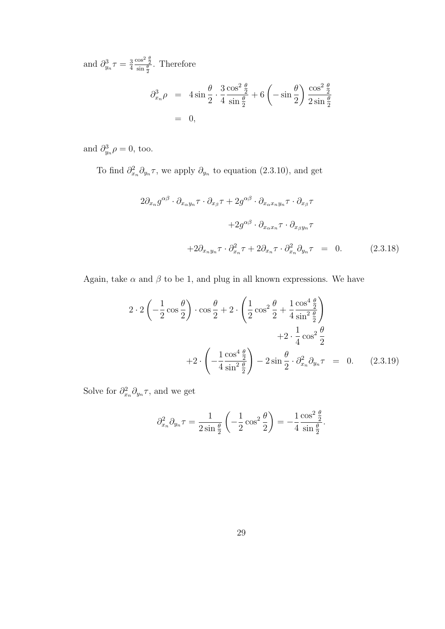and  $\partial_{y_n}^3 \tau = \frac{3}{4}$ 4  $\frac{\cos^2 \frac{\theta}{2}}{\sin \frac{\theta}{2}}$ . Therefore

$$
\partial_{x_n}^3 \rho = 4 \sin \frac{\theta}{2} \cdot \frac{3}{4} \frac{\cos^2 \frac{\theta}{2}}{\sin \frac{\theta}{2}} + 6 \left( -\sin \frac{\theta}{2} \right) \frac{\cos^2 \frac{\theta}{2}}{2 \sin \frac{\theta}{2}}
$$
  
= 0,

and  $\partial_{y_n}^3 \rho = 0$ , too.

To find  $\partial_{x_n}^2 \partial_{y_n} \tau$ , we apply  $\partial_{y_n}$  to equation (2.3.10), and get

$$
2\partial_{x_n} g^{\alpha\beta} \cdot \partial_{x_\alpha y_n} \tau \cdot \partial_{x_\beta} \tau + 2g^{\alpha\beta} \cdot \partial_{x_\alpha x_n y_n} \tau \cdot \partial_{x_\beta} \tau + 2g^{\alpha\beta} \cdot \partial_{x_\alpha x_n} \tau \cdot \partial_{x_\beta y_n} \tau + 2\partial_{x_n y_n} \tau \cdot \partial_{x_n}^2 \tau + 2\partial_{x_n} \tau \cdot \partial_{x_n}^2 \partial_{y_n} \tau = 0.
$$
 (2.3.18)

Again, take  $\alpha$  and  $\beta$  to be 1, and plug in all known expressions. We have

$$
2 \cdot 2 \left(-\frac{1}{2}\cos\frac{\theta}{2}\right) \cdot \cos\frac{\theta}{2} + 2 \cdot \left(\frac{1}{2}\cos^2\frac{\theta}{2} + \frac{1}{4}\frac{\cos^4\frac{\theta}{2}}{\sin^2\frac{\theta}{2}}\right) + 2 \cdot \frac{1}{4}\cos^2\frac{\theta}{2} + 2 \cdot \left(-\frac{1}{4}\frac{\cos^4\frac{\theta}{2}}{\sin^2\frac{\theta}{2}}\right) - 2\sin\frac{\theta}{2} \cdot \partial_{x_n}^2 \partial_{y_n} \tau = 0.
$$
 (2.3.19)

Solve for  $\partial_{x_n}^2 \partial_{y_n} \tau$ , and we get

$$
\partial_{x_n}^2 \partial_{y_n} \tau = \frac{1}{2 \sin \frac{\theta}{2}} \left( -\frac{1}{2} \cos^2 \frac{\theta}{2} \right) = -\frac{1}{4} \frac{\cos^2 \frac{\theta}{2}}{\sin \frac{\theta}{2}}.
$$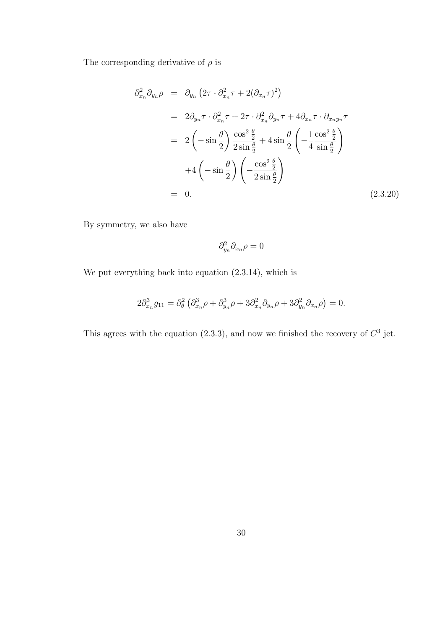The corresponding derivative of  $\rho$  is

$$
\partial_{x_n}^2 \partial_{y_n} \rho = \partial_{y_n} \left( 2\tau \cdot \partial_{x_n}^2 \tau + 2(\partial_{x_n} \tau)^2 \right)
$$
  
\n
$$
= 2\partial_{y_n} \tau \cdot \partial_{x_n}^2 \tau + 2\tau \cdot \partial_{x_n}^2 \partial_{y_n} \tau + 4\partial_{x_n} \tau \cdot \partial_{x_n y_n} \tau
$$
  
\n
$$
= 2\left( -\sin{\frac{\theta}{2}} \right) \frac{\cos^2{\frac{\theta}{2}}}{2\sin{\frac{\theta}{2}}} + 4\sin{\frac{\theta}{2}} \left( -\frac{1}{4} \frac{\cos^2{\frac{\theta}{2}}}{\sin{\frac{\theta}{2}}} \right)
$$
  
\n
$$
+ 4\left( -\sin{\frac{\theta}{2}} \right) \left( -\frac{\cos^2{\frac{\theta}{2}}}{2\sin{\frac{\theta}{2}}} \right)
$$
  
\n
$$
= 0.
$$
 (2.3.20)

By symmetry, we also have

$$
\partial_{y_n}^2 \partial_{x_n} \rho = 0
$$

We put everything back into equation (2.3.14), which is

$$
2\partial_{x_n}^3 g_{11} = \partial_{\theta}^2 \left( \partial_{x_n}^3 \rho + \partial_{y_n}^3 \rho + 3 \partial_{x_n}^2 \partial_{y_n} \rho + 3 \partial_{y_n}^2 \partial_{x_n} \rho \right) = 0.
$$

This agrees with the equation  $(2.3.3)$ , and now we finished the recovery of  $C<sup>3</sup>$  jet.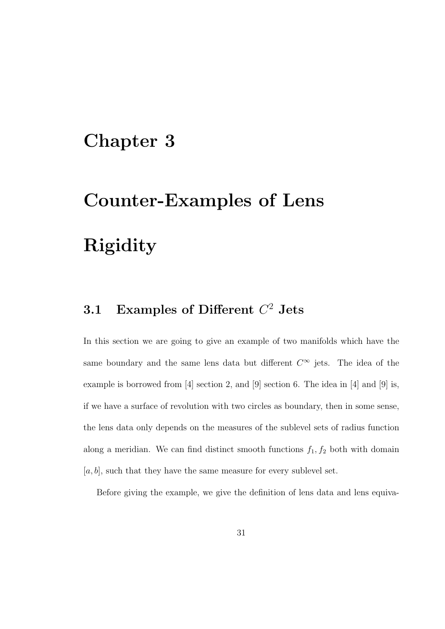# Chapter 3

# Counter-Examples of Lens Rigidity

#### 3.1 Examples of Different  $C^2$  Jets

In this section we are going to give an example of two manifolds which have the same boundary and the same lens data but different  $C^{\infty}$  jets. The idea of the example is borrowed from [4] section 2, and [9] section 6. The idea in [4] and [9] is, if we have a surface of revolution with two circles as boundary, then in some sense, the lens data only depends on the measures of the sublevel sets of radius function along a meridian. We can find distinct smooth functions  $f_1, f_2$  both with domain  $[a, b]$ , such that they have the same measure for every sublevel set.

Before giving the example, we give the definition of lens data and lens equiva-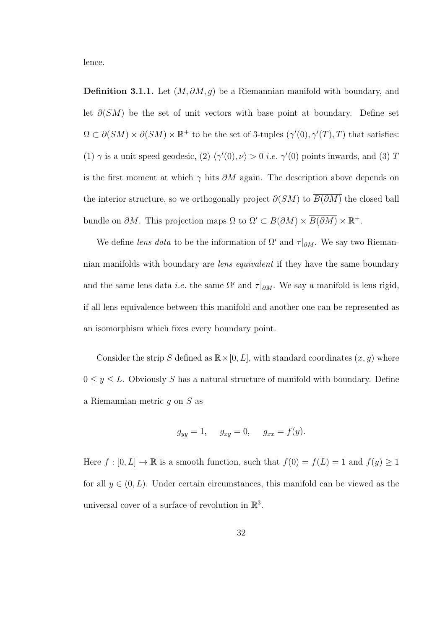lence.

**Definition 3.1.1.** Let  $(M, \partial M, g)$  be a Riemannian manifold with boundary, and let  $\partial(SM)$  be the set of unit vectors with base point at boundary. Define set  $\Omega \subset \partial(SM) \times \partial(SM) \times \mathbb{R}^+$  to be the set of 3-tuples  $(\gamma'(0), \gamma'(T), T)$  that satisfies: (1)  $\gamma$  is a unit speed geodesic, (2)  $\langle \gamma'(0), \nu \rangle > 0$  *i.e.*  $\gamma'(0)$  points inwards, and (3) T is the first moment at which  $\gamma$  hits  $\partial M$  again. The description above depends on the interior structure, so we orthogonally project  $\partial(SM)$  to  $\overline{B(\partial M)}$  the closed ball bundle on  $\partial M$ . This projection maps  $\Omega$  to  $\Omega' \subset B(\partial M) \times \overline{B(\partial M)} \times \mathbb{R}^+$ .

We define lens data to be the information of  $\Omega'$  and  $\tau|_{\partial M}$ . We say two Riemannian manifolds with boundary are lens equivalent if they have the same boundary and the same lens data *i.e.* the same  $\Omega'$  and  $\tau|_{\partial M}$ . We say a manifold is lens rigid, if all lens equivalence between this manifold and another one can be represented as an isomorphism which fixes every boundary point.

Consider the strip S defined as  $\mathbb{R} \times [0, L]$ , with standard coordinates  $(x, y)$  where  $0 \leq y \leq L$ . Obviously S has a natural structure of manifold with boundary. Define a Riemannian metric g on S as

$$
g_{yy} = 1
$$
,  $g_{xy} = 0$ ,  $g_{xx} = f(y)$ .

Here  $f : [0, L] \to \mathbb{R}$  is a smooth function, such that  $f(0) = f(L) = 1$  and  $f(y) \ge 1$ for all  $y \in (0, L)$ . Under certain circumstances, this manifold can be viewed as the universal cover of a surface of revolution in  $\mathbb{R}^3$ .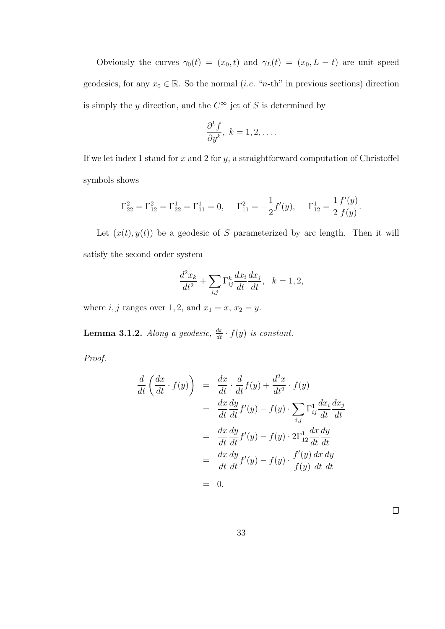Obviously the curves  $\gamma_0(t) = (x_0, t)$  and  $\gamma_L(t) = (x_0, L - t)$  are unit speed geodesics, for any  $x_0 \in \mathbb{R}$ . So the normal (*i.e.* "*n*-th" in previous sections) direction is simply the y direction, and the  $C^{\infty}$  jet of S is determined by

$$
\frac{\partial^k f}{\partial y^k}, \ k = 1, 2, \dots
$$

If we let index 1 stand for  $x$  and 2 for  $y$ , a straightforward computation of Christoffel symbols shows

$$
\Gamma_{22}^2 = \Gamma_{12}^2 = \Gamma_{22}^1 = \Gamma_{11}^1 = 0, \quad \Gamma_{11}^2 = -\frac{1}{2}f'(y), \quad \Gamma_{12}^1 = \frac{1}{2}\frac{f'(y)}{f(y)}.
$$

Let  $(x(t), y(t))$  be a geodesic of S parameterized by arc length. Then it will satisfy the second order system

$$
\frac{d^2x_k}{dt^2} + \sum_{i,j} \Gamma_{ij}^k \frac{dx_i}{dt} \frac{dx_j}{dt}, \quad k = 1, 2,
$$

where  $i, j$  ranges over 1, 2, and  $x_1 = x, x_2 = y$ .

**Lemma 3.1.2.** Along a geodesic,  $\frac{dx}{dt} \cdot f(y)$  is constant.

Proof.

$$
\frac{d}{dt}\left(\frac{dx}{dt}\cdot f(y)\right) = \frac{dx}{dt}\cdot\frac{d}{dt}f(y) + \frac{d^2x}{dt^2}\cdot f(y)
$$
\n
$$
= \frac{dx}{dt}\frac{dy}{dt}f'(y) - f(y)\cdot\sum_{i,j}\Gamma_{ij}^1\frac{dx_i}{dt}\frac{dx_j}{dt}
$$
\n
$$
= \frac{dx}{dt}\frac{dy}{dt}f'(y) - f(y)\cdot 2\Gamma_{12}^1\frac{dx}{dt}\frac{dy}{dt}
$$
\n
$$
= \frac{dx}{dt}\frac{dy}{dt}f'(y) - f(y)\cdot\frac{f'(y)}{f(y)}\frac{dx}{dt}\frac{dy}{dt}
$$
\n
$$
= 0.
$$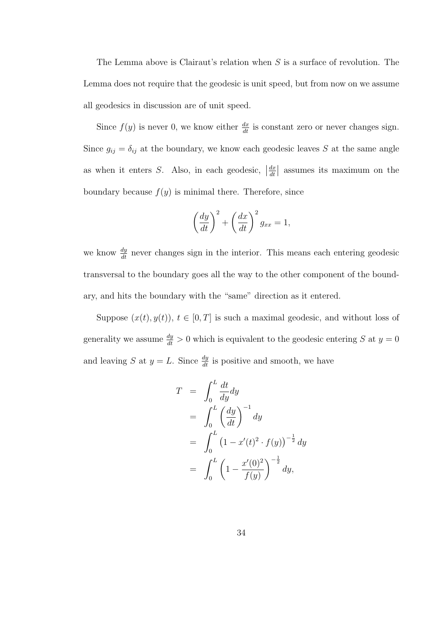The Lemma above is Clairaut's relation when S is a surface of revolution. The Lemma does not require that the geodesic is unit speed, but from now on we assume all geodesics in discussion are of unit speed.

Since  $f(y)$  is never 0, we know either  $\frac{dx}{dt}$  is constant zero or never changes sign. Since  $g_{ij} = \delta_{ij}$  at the boundary, we know each geodesic leaves S at the same angle as when it enters S. Also, in each geodesic,  $\left| \frac{dx}{dt} \right|$  $\frac{dx}{dt}$  assumes its maximum on the boundary because  $f(y)$  is minimal there. Therefore, since

$$
\left(\frac{dy}{dt}\right)^2 + \left(\frac{dx}{dt}\right)^2 g_{xx} = 1,
$$

we know  $\frac{dy}{dt}$  never changes sign in the interior. This means each entering geodesic transversal to the boundary goes all the way to the other component of the boundary, and hits the boundary with the "same" direction as it entered.

Suppose  $(x(t), y(t))$ ,  $t \in [0, T]$  is such a maximal geodesic, and without loss of generality we assume  $\frac{dy}{dt} > 0$  which is equivalent to the geodesic entering S at  $y = 0$ and leaving S at  $y = L$ . Since  $\frac{dy}{dt}$  is positive and smooth, we have

$$
T = \int_0^L \frac{dt}{dy} dy
$$
  
=  $\int_0^L \left(\frac{dy}{dt}\right)^{-1} dy$   
=  $\int_0^L \left(1 - x'(t)^2 \cdot f(y)\right)^{-\frac{1}{2}} dy$   
=  $\int_0^L \left(1 - \frac{x'(0)^2}{f(y)}\right)^{-\frac{1}{2}} dy$ ,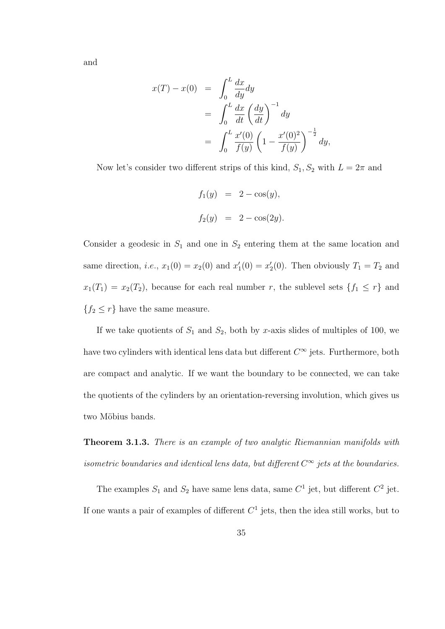and

$$
x(T) - x(0) = \int_0^L \frac{dx}{dy} dy
$$
  
= 
$$
\int_0^L \frac{dx}{dt} \left(\frac{dy}{dt}\right)^{-1} dy
$$
  
= 
$$
\int_0^L \frac{x'(0)}{f(y)} \left(1 - \frac{x'(0)^2}{f(y)}\right)^{-\frac{1}{2}} dy,
$$

Now let's consider two different strips of this kind,  $S_1, S_2$  with  $L = 2\pi$  and

$$
f_1(y) = 2 - \cos(y),
$$
  
\n $f_2(y) = 2 - \cos(2y).$ 

Consider a geodesic in  $S_1$  and one in  $S_2$  entering them at the same location and same direction, *i.e.*,  $x_1(0) = x_2(0)$  and  $x'_1(0) = x'_2(0)$ . Then obviously  $T_1 = T_2$  and  $x_1(T_1) = x_2(T_2)$ , because for each real number r, the sublevel sets  $\{f_1 \leq r\}$  and  ${f_2 \leq r}$  have the same measure.

If we take quotients of  $S_1$  and  $S_2$ , both by x-axis slides of multiples of 100, we have two cylinders with identical lens data but different  $C^{\infty}$  jets. Furthermore, both are compact and analytic. If we want the boundary to be connected, we can take the quotients of the cylinders by an orientation-reversing involution, which gives us two Möbius bands.

Theorem 3.1.3. There is an example of two analytic Riemannian manifolds with isometric boundaries and identical lens data, but different  $C^{\infty}$  jets at the boundaries.

The examples  $S_1$  and  $S_2$  have same lens data, same  $C^1$  jet, but different  $C^2$  jet. If one wants a pair of examples of different  $C<sup>1</sup>$  jets, then the idea still works, but to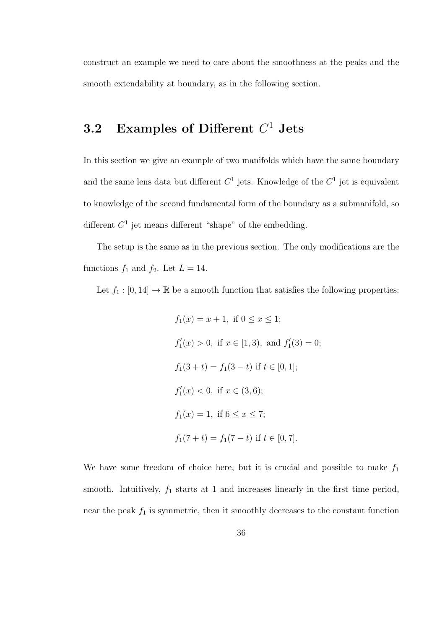construct an example we need to care about the smoothness at the peaks and the smooth extendability at boundary, as in the following section.

#### $3.2$  Examples of Different  $C^1$  Jets

In this section we give an example of two manifolds which have the same boundary and the same lens data but different  $C^1$  jets. Knowledge of the  $C^1$  jet is equivalent to knowledge of the second fundamental form of the boundary as a submanifold, so different  $C<sup>1</sup>$  jet means different "shape" of the embedding.

The setup is the same as in the previous section. The only modifications are the functions  $f_1$  and  $f_2$ . Let  $L = 14$ .

Let  $f_1 : [0, 14] \to \mathbb{R}$  be a smooth function that satisfies the following properties:

$$
f_1(x) = x + 1, \text{ if } 0 \le x \le 1;
$$
  
\n
$$
f'_1(x) > 0, \text{ if } x \in [1,3), \text{ and } f'_1(3) = 0;
$$
  
\n
$$
f_1(3 + t) = f_1(3 - t) \text{ if } t \in [0,1];
$$
  
\n
$$
f'_1(x) < 0, \text{ if } x \in (3,6);
$$
  
\n
$$
f_1(x) = 1, \text{ if } 6 \le x \le 7;
$$
  
\n
$$
f_1(7 + t) = f_1(7 - t) \text{ if } t \in [0,7].
$$

We have some freedom of choice here, but it is crucial and possible to make  $f_1$ smooth. Intuitively,  $f_1$  starts at 1 and increases linearly in the first time period, near the peak  $f_1$  is symmetric, then it smoothly decreases to the constant function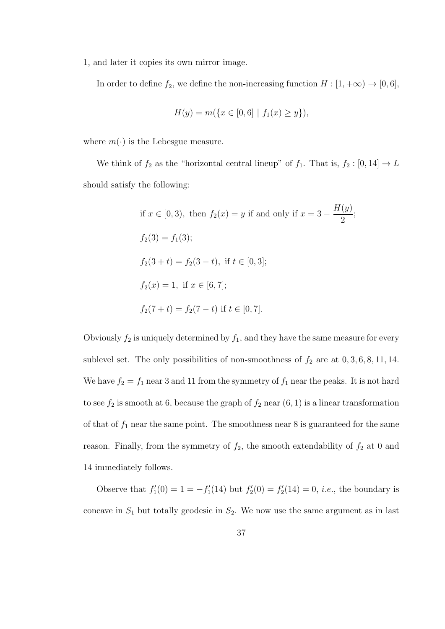1, and later it copies its own mirror image.

In order to define  $f_2$ , we define the non-increasing function  $H : [1, +\infty) \to [0, 6]$ ,

$$
H(y) = m(\{x \in [0,6] \mid f_1(x) \ge y\}),
$$

where  $m(\cdot)$  is the Lebesgue measure.

We think of  $f_2$  as the "horizontal central lineup" of  $f_1$ . That is,  $f_2 : [0, 14] \rightarrow L$ should satisfy the following:

if 
$$
x \in [0, 3)
$$
, then  $f_2(x) = y$  if and only if  $x = 3 - \frac{H(y)}{2}$ ;  
\n $f_2(3) = f_1(3)$ ;  
\n $f_2(3 + t) = f_2(3 - t)$ , if  $t \in [0, 3]$ ;  
\n $f_2(x) = 1$ , if  $x \in [6, 7]$ ;  
\n $f_2(7 + t) = f_2(7 - t)$  if  $t \in [0, 7]$ .

Obviously  $f_2$  is uniquely determined by  $f_1$ , and they have the same measure for every sublevel set. The only possibilities of non-smoothness of  $f_2$  are at  $0, 3, 6, 8, 11, 14$ . We have  $f_2 = f_1$  near 3 and 11 from the symmetry of  $f_1$  near the peaks. It is not hard to see  $f_2$  is smooth at 6, because the graph of  $f_2$  near  $(6, 1)$  is a linear transformation of that of  $f_1$  near the same point. The smoothness near 8 is guaranteed for the same reason. Finally, from the symmetry of  $f_2$ , the smooth extendability of  $f_2$  at 0 and 14 immediately follows.

Observe that  $f_1'(0) = 1 = -f_1'(14)$  but  $f_2'(0) = f_2'(14) = 0$ , *i.e.*, the boundary is concave in  $S_1$  but totally geodesic in  $S_2$ . We now use the same argument as in last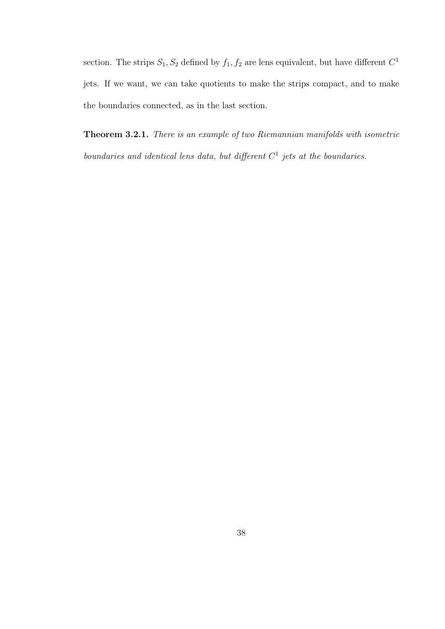section. The strips  $S_1, S_2$  defined by  $f_1, f_2$  are lens equivalent, but have different  $C^1$ jets. If we want, we can take quotients to make the strips compact, and to make the boundaries connected, as in the last section.

Theorem 3.2.1. There is an example of two Riemannian manifolds with isometric boundaries and identical lens data, but different  $C<sup>1</sup>$  jets at the boundaries.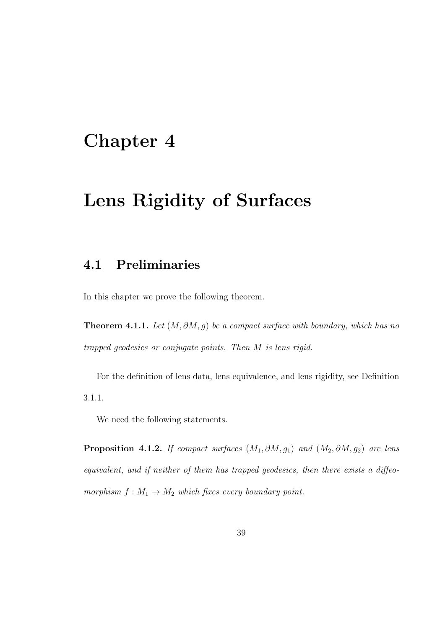# Chapter 4

## Lens Rigidity of Surfaces

#### 4.1 Preliminaries

In this chapter we prove the following theorem.

**Theorem 4.1.1.** Let  $(M, \partial M, g)$  be a compact surface with boundary, which has no trapped geodesics or conjugate points. Then M is lens rigid.

For the definition of lens data, lens equivalence, and lens rigidity, see Definition 3.1.1.

We need the following statements.

**Proposition 4.1.2.** If compact surfaces  $(M_1, \partial M, g_1)$  and  $(M_2, \partial M, g_2)$  are lens equivalent, and if neither of them has trapped geodesics, then there exists a diffeomorphism  $f : M_1 \to M_2$  which fixes every boundary point.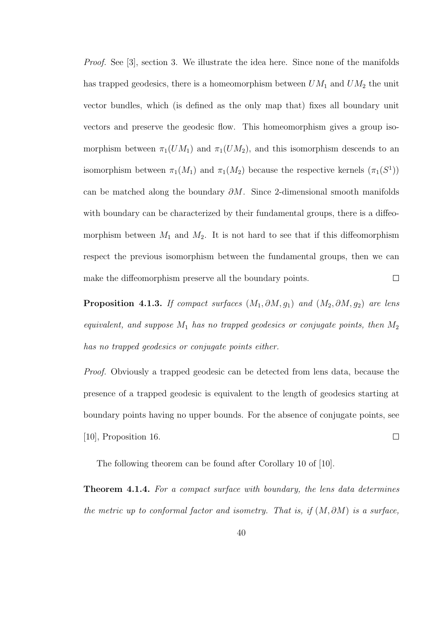Proof. See [3], section 3. We illustrate the idea here. Since none of the manifolds has trapped geodesics, there is a homeomorphism between  $UM_1$  and  $UM_2$  the unit vector bundles, which (is defined as the only map that) fixes all boundary unit vectors and preserve the geodesic flow. This homeomorphism gives a group isomorphism between  $\pi_1(UM_1)$  and  $\pi_1(UM_2)$ , and this isomorphism descends to an isomorphism between  $\pi_1(M_1)$  and  $\pi_1(M_2)$  because the respective kernels  $(\pi_1(S^1))$ can be matched along the boundary  $\partial M$ . Since 2-dimensional smooth manifolds with boundary can be characterized by their fundamental groups, there is a diffeomorphism between  $M_1$  and  $M_2$ . It is not hard to see that if this diffeomorphism respect the previous isomorphism between the fundamental groups, then we can  $\Box$ make the diffeomorphism preserve all the boundary points.

**Proposition 4.1.3.** If compact surfaces  $(M_1, \partial M, g_1)$  and  $(M_2, \partial M, g_2)$  are lens equivalent, and suppose  $M_1$  has no trapped geodesics or conjugate points, then  $M_2$ has no trapped geodesics or conjugate points either.

Proof. Obviously a trapped geodesic can be detected from lens data, because the presence of a trapped geodesic is equivalent to the length of geodesics starting at boundary points having no upper bounds. For the absence of conjugate points, see [10], Proposition 16.  $\Box$ 

The following theorem can be found after Corollary 10 of [10].

**Theorem 4.1.4.** For a compact surface with boundary, the lens data determines the metric up to conformal factor and isometry. That is, if  $(M, \partial M)$  is a surface,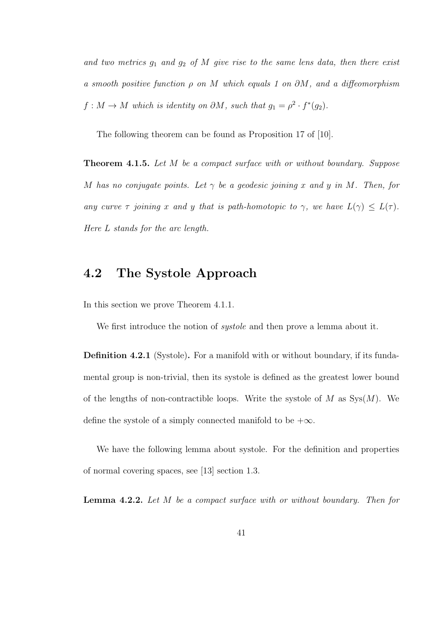and two metrics  $g_1$  and  $g_2$  of M give rise to the same lens data, then there exist a smooth positive function  $\rho$  on M which equals 1 on  $\partial M$ , and a diffeomorphism  $f: M \to M$  which is identity on  $\partial M$ , such that  $g_1 = \rho^2 \cdot f^*(g_2)$ .

The following theorem can be found as Proposition 17 of [10].

**Theorem 4.1.5.** Let M be a compact surface with or without boundary. Suppose M has no conjugate points. Let  $\gamma$  be a geodesic joining x and y in M. Then, for any curve  $\tau$  joining x and y that is path-homotopic to  $\gamma$ , we have  $L(\gamma) \leq L(\tau)$ . Here L stands for the arc length.

#### 4.2 The Systole Approach

In this section we prove Theorem 4.1.1.

We first introduce the notion of *systole* and then prove a lemma about it.

Definition 4.2.1 (Systole). For a manifold with or without boundary, if its fundamental group is non-trivial, then its systole is defined as the greatest lower bound of the lengths of non-contractible loops. Write the systole of M as  $Sys(M)$ . We define the systole of a simply connected manifold to be  $+\infty$ .

We have the following lemma about systole. For the definition and properties of normal covering spaces, see [13] section 1.3.

**Lemma 4.2.2.** Let M be a compact surface with or without boundary. Then for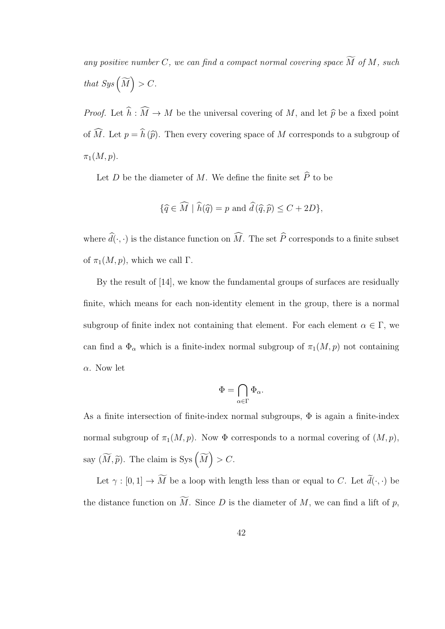any positive number C, we can find a compact normal covering space  $\widetilde{M}$  of M, such that  $Sys\left(\widetilde{M}\right) > C.$ 

*Proof.* Let  $\widehat{h} : \widehat{M} \to M$  be the universal covering of M, and let  $\widehat{p}$  be a fixed point of  $\widehat{M}$ . Let  $p = \widehat{h}(\widehat{p})$ . Then every covering space of M corresponds to a subgroup of  $\pi_1(M,p).$ 

Let D be the diameter of M. We define the finite set  $\widehat{P}$  to be

$$
\{\widehat{q} \in \widehat{M} \mid \widehat{h}(\widehat{q}) = p \text{ and } \widehat{d}(\widehat{q}, \widehat{p}) \le C + 2D\},\
$$

where  $\widehat{d}(\cdot, \cdot)$  is the distance function on  $\widehat{M}$ . The set  $\widehat{P}$  corresponds to a finite subset of  $\pi_1(M, p)$ , which we call Γ.

By the result of [14], we know the fundamental groups of surfaces are residually finite, which means for each non-identity element in the group, there is a normal subgroup of finite index not containing that element. For each element  $\alpha \in \Gamma$ , we can find a  $\Phi_{\alpha}$  which is a finite-index normal subgroup of  $\pi_1(M, p)$  not containing  $\alpha$ . Now let

$$
\Phi=\bigcap_{\alpha\in\Gamma}\Phi_\alpha.
$$

As a finite intersection of finite-index normal subgroups,  $\Phi$  is again a finite-index normal subgroup of  $\pi_1(M, p)$ . Now  $\Phi$  corresponds to a normal covering of  $(M, p)$ , say  $(\widetilde{M}, \widetilde{p})$ . The claim is Sys  $(\widetilde{M}) > C$ .

Let  $\gamma : [0,1] \to \widetilde{M}$  be a loop with length less than or equal to C. Let  $\widetilde{d}(\cdot,\cdot)$  be the distance function on  $\widetilde{M}$ . Since D is the diameter of M, we can find a lift of p,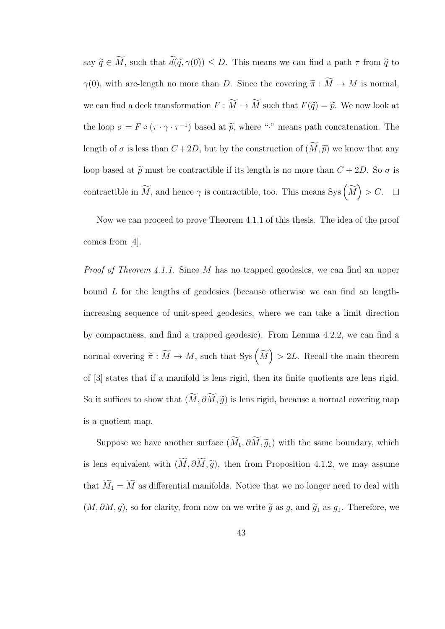say  $\widetilde{q} \in \widetilde{M}$ , such that  $\widetilde{d}(\widetilde{q}, \gamma(0)) \leq D$ . This means we can find a path  $\tau$  from  $\widetilde{q}$  to  $\gamma(0)$ , with arc-length no more than D. Since the covering  $\widetilde{\pi} : \widetilde{M} \to M$  is normal, we can find a deck transformation  $F : \widetilde{M} \to \widetilde{M}$  such that  $F(\widetilde{q}) = \widetilde{p}$ . We now look at the loop  $\sigma = F \circ (\tau \cdot \gamma \cdot \tau^{-1})$  based at  $\tilde{p}$ , where "." means path concatenation. The length of  $\sigma$  is less than  $C + 2D$ , but by the construction of  $(\widetilde{M}, \widetilde{p})$  we know that any loop based at  $\tilde{p}$  must be contractible if its length is no more than  $C + 2D$ . So  $\sigma$  is contractible in  $\widetilde{M}$ , and hence  $\gamma$  is contractible, too. This means Sys  $(\widetilde{M}) > C$ .

Now we can proceed to prove Theorem 4.1.1 of this thesis. The idea of the proof comes from [4].

Proof of Theorem 4.1.1. Since M has no trapped geodesics, we can find an upper bound L for the lengths of geodesics (because otherwise we can find an lengthincreasing sequence of unit-speed geodesics, where we can take a limit direction by compactness, and find a trapped geodesic). From Lemma 4.2.2, we can find a normal covering  $\widetilde{\pi} : \widetilde{M} \to M$ , such that Sys  $(\widetilde{M}) > 2L$ . Recall the main theorem of [3] states that if a manifold is lens rigid, then its finite quotients are lens rigid. So it suffices to show that  $(\widetilde{M}, \partial \widetilde{M}, \widetilde{g})$  is lens rigid, because a normal covering map is a quotient map.

Suppose we have another surface  $(\widetilde{M}_1, \partial \widetilde{M}, \widetilde{g}_1)$  with the same boundary, which is lens equivalent with  $(\widetilde{M}, \partial \widetilde{M}, \widetilde{g})$ , then from Proposition 4.1.2, we may assume that  $\widetilde{M}_1 = \widetilde{M}$  as differential manifolds. Notice that we no longer need to deal with  $(M, \partial M, g)$ , so for clarity, from now on we write  $\tilde{g}$  as g, and  $\tilde{g}_1$  as  $g_1$ . Therefore, we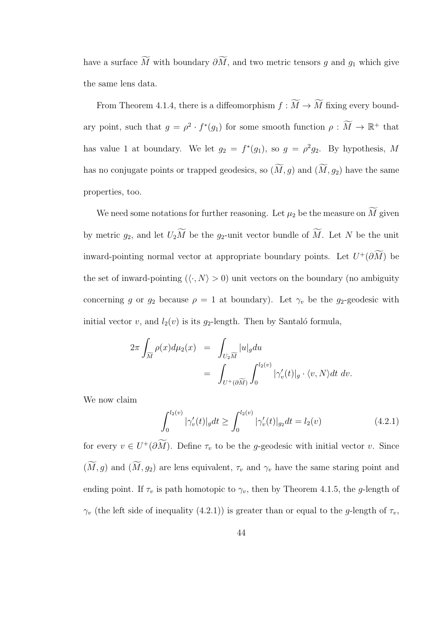have a surface  $\widetilde{M}$  with boundary  $\partial \widetilde{M}$ , and two metric tensors g and  $g_1$  which give the same lens data.

From Theorem 4.1.4, there is a diffeomorphism  $f : \widetilde{M} \to \widetilde{M}$  fixing every boundary point, such that  $g = \rho^2 \cdot f^*(g_1)$  for some smooth function  $\rho : \widetilde{M} \to \mathbb{R}^+$  that has value 1 at boundary. We let  $g_2 = f^*(g_1)$ , so  $g = \rho^2 g_2$ . By hypothesis, M has no conjugate points or trapped geodesics, so  $(\widetilde{M}, g)$  and  $(\widetilde{M}, g_2)$  have the same properties, too.

We need some notations for further reasoning. Let  $\mu_2$  be the measure on  $\widetilde{M}$  given by metric  $g_2$ , and let  $U_2\widetilde{M}$  be the  $g_2$ -unit vector bundle of  $\widetilde{M}$ . Let N be the unit inward-pointing normal vector at appropriate boundary points. Let  $U^+(\partial M)$  be the set of inward-pointing  $({\langle} \cdot, N \rangle > 0)$  unit vectors on the boundary (no ambiguity concerning g or  $g_2$  because  $\rho = 1$  at boundary). Let  $\gamma_v$  be the g<sub>2</sub>-geodesic with initial vector v, and  $l_2(v)$  is its g<sub>2</sub>-length. Then by Santaló formula,

$$
2\pi \int_{\widetilde{M}} \rho(x) d\mu_2(x) = \int_{U_2 \widetilde{M}} |u|_g du
$$
  
= 
$$
\int_{U^+(\partial \widetilde{M})} \int_0^{l_2(v)} |\gamma'_v(t)|_g \cdot \langle v, N \rangle dt dv.
$$

We now claim

$$
\int_0^{l_2(v)} |\gamma'_v(t)|_g dt \ge \int_0^{l_2(v)} |\gamma'_v(t)|_{g_2} dt = l_2(v) \tag{4.2.1}
$$

for every  $v \in U^+(\partial M)$ . Define  $\tau_v$  to be the g-geodesic with initial vector v. Since  $(M, g)$  and  $(M, g_2)$  are lens equivalent,  $\tau_v$  and  $\gamma_v$  have the same staring point and ending point. If  $\tau_v$  is path homotopic to  $\gamma_v$ , then by Theorem 4.1.5, the g-length of  $\gamma_v$  (the left side of inequality (4.2.1)) is greater than or equal to the g-length of  $\tau_v$ ,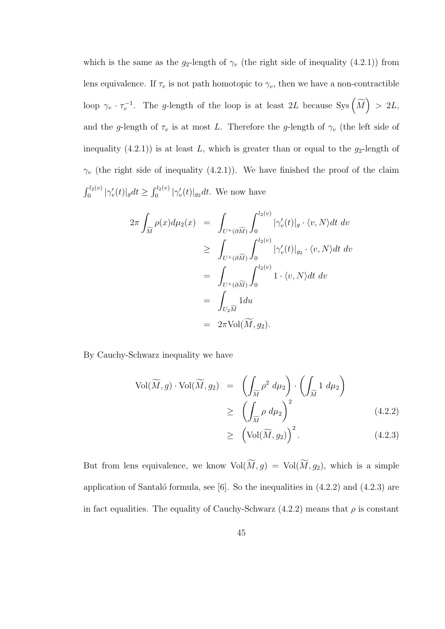which is the same as the  $g_2$ -length of  $\gamma_v$  (the right side of inequality (4.2.1)) from lens equivalence. If  $\tau_v$  is not path homotopic to  $\gamma_v$ , then we have a non-contractible loop  $\gamma_v \cdot \tau_v^{-1}$ . The g-length of the loop is at least 2L because Sys  $(\widetilde{M}) > 2L$ , and the g-length of  $\tau_v$  is at most L. Therefore the g-length of  $\gamma_v$  (the left side of inequality  $(4.2.1)$  is at least L, which is greater than or equal to the  $g_2$ -length of  $\gamma_v$  (the right side of inequality (4.2.1)). We have finished the proof of the claim  $\int_0^{l_2(v)} |\gamma'_v(t)|_g dt \ge \int_0^{l_2(v)} |\gamma'_v(t)|_{g_2} dt$ . We now have

$$
2\pi \int_{\widetilde{M}} \rho(x) d\mu_2(x) = \int_{U^+(\partial \widetilde{M})} \int_0^{l_2(v)} |\gamma'_v(t)|_g \cdot \langle v, N \rangle dt dv
$$
  
\n
$$
\geq \int_{U^+(\partial \widetilde{M})} \int_0^{l_2(v)} |\gamma'_v(t)|_{g_2} \cdot \langle v, N \rangle dt dv
$$
  
\n
$$
= \int_{U^+(\partial \widetilde{M})} \int_0^{l_2(v)} 1 \cdot \langle v, N \rangle dt dv
$$
  
\n
$$
= \int_{U_2 \widetilde{M}} 1 du
$$
  
\n
$$
= 2\pi \text{Vol}(\widetilde{M}, g_2).
$$

By Cauchy-Schwarz inequality we have

$$
Vol(\widetilde{M}, g) \cdot Vol(\widetilde{M}, g_2) = \left( \int_{\widetilde{M}} \rho^2 d\mu_2 \right) \cdot \left( \int_{\widetilde{M}} 1 d\mu_2 \right)
$$
  
\n
$$
\geq \left( \int_{\widetilde{M}} \rho d\mu_2 \right)^2 \qquad (4.2.2)
$$
  
\n
$$
\geq \left( Vol(\widetilde{M}, g_2) \right)^2.
$$
 (4.2.3)

But from lens equivalence, we know  $\text{Vol}(\widetilde{M}, g) = \text{Vol}(\widetilde{M}, g_2)$ , which is a simple application of Santaló formula, see [6]. So the inequalities in  $(4.2.2)$  and  $(4.2.3)$  are in fact equalities. The equality of Cauchy-Schwarz  $(4.2.2)$  means that  $\rho$  is constant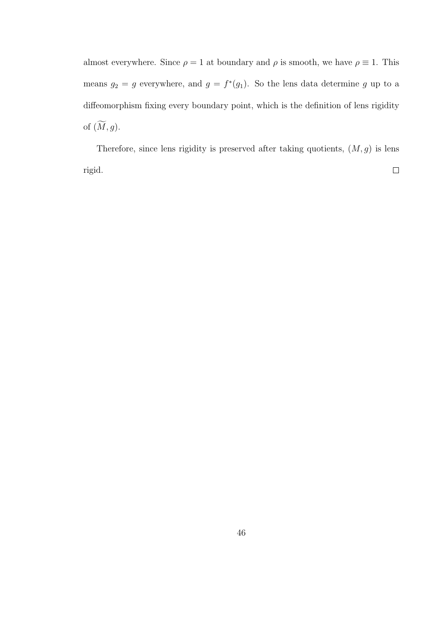almost everywhere. Since  $\rho = 1$  at boundary and  $\rho$  is smooth, we have  $\rho \equiv 1$ . This means  $g_2 = g$  everywhere, and  $g = f^*(g_1)$ . So the lens data determine g up to a diffeomorphism fixing every boundary point, which is the definition of lens rigidity of  $(\widetilde{M}, g)$ .

Therefore, since lens rigidity is preserved after taking quotients,  $(M, g)$  is lens  $\Box$ rigid.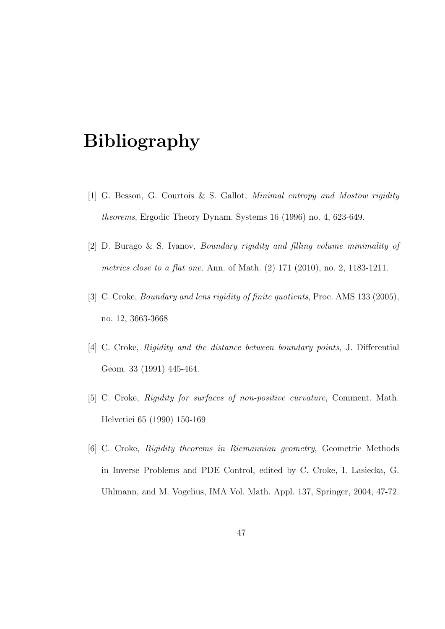# Bibliography

- [1] G. Besson, G. Courtois & S. Gallot, Minimal entropy and Mostow rigidity theorems, Ergodic Theory Dynam. Systems 16 (1996) no. 4, 623-649.
- [2] D. Burago & S. Ivanov, Boundary rigidity and filling volume minimality of metrics close to a flat one. Ann. of Math. (2) 171 (2010), no. 2, 1183-1211.
- [3] C. Croke, *Boundary and lens rigidity of finite quotients*, Proc. AMS 133 (2005), no. 12, 3663-3668
- [4] C. Croke, Rigidity and the distance between boundary points, J. Differential Geom. 33 (1991) 445-464.
- [5] C. Croke, Rigidity for surfaces of non-positive curvature, Comment. Math. Helvetici 65 (1990) 150-169
- [6] C. Croke, Rigidity theorems in Riemannian geometry, Geometric Methods in Inverse Problems and PDE Control, edited by C. Croke, I. Lasiecka, G. Uhlmann, and M. Vogelius, IMA Vol. Math. Appl. 137, Springer, 2004, 47-72.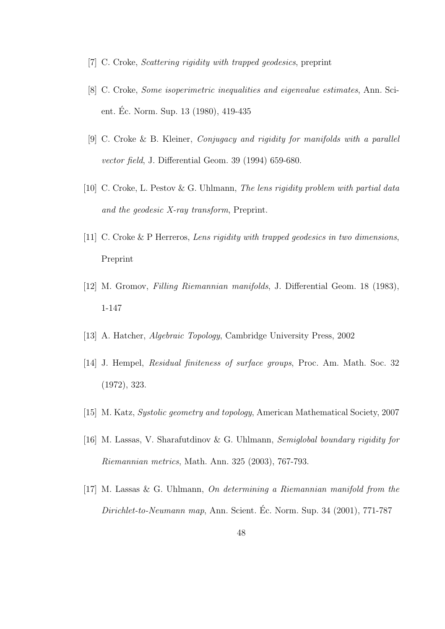- [7] C. Croke, Scattering rigidity with trapped geodesics, preprint
- [8] C. Croke, Some isoperimetric inequalities and eigenvalue estimates, Ann. Scient. Ec. Norm. Sup. 13 (1980), 419-435 ´
- [9] C. Croke & B. Kleiner, Conjugacy and rigidity for manifolds with a parallel vector field, J. Differential Geom. 39 (1994) 659-680.
- [10] C. Croke, L. Pestov & G. Uhlmann, The lens rigidity problem with partial data and the geodesic X-ray transform, Preprint.
- [11] C. Croke & P Herreros, Lens rigidity with trapped geodesics in two dimensions, Preprint
- [12] M. Gromov, Filling Riemannian manifolds, J. Differential Geom. 18 (1983), 1-147
- [13] A. Hatcher, Algebraic Topology, Cambridge University Press, 2002
- [14] J. Hempel, Residual finiteness of surface groups, Proc. Am. Math. Soc. 32 (1972), 323.
- [15] M. Katz, Systolic geometry and topology, American Mathematical Society, 2007
- [16] M. Lassas, V. Sharafutdinov & G. Uhlmann, Semiglobal boundary rigidity for Riemannian metrics, Math. Ann. 325 (2003), 767-793.
- [17] M. Lassas & G. Uhlmann, On determining a Riemannian manifold from the  $Dirichlet-to-Neumann$  map, Ann. Scient. Éc. Norm. Sup. 34 (2001), 771-787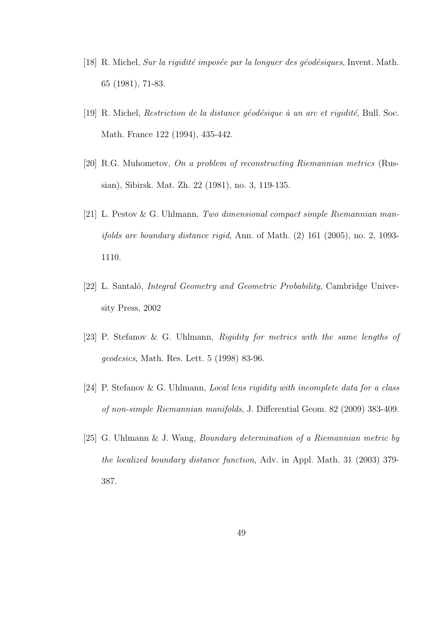- [18] R. Michel, Sur la rigidité imposée par la longuer des géodésiques, Invent. Math. 65 (1981), 71-83.
- [19] R. Michel, *Restriction de la distance géodésique à un arc et rigidité*, Bull. Soc. Math. France 122 (1994), 435-442.
- [20] R.G. Muhometov, On a problem of reconstructing Riemannian metrics (Russian), Sibirsk. Mat. Zh. 22 (1981), no. 3, 119-135.
- [21] L. Pestov & G. Uhlmann, Two dimensional compact simple Riemannian manifolds are boundary distance rigid, Ann. of Math. (2) 161 (2005), no. 2, 1093- 1110.
- [22] L. Santaló, *Integral Geometry and Geometric Probability*, Cambridge University Press, 2002
- [23] P. Stefanov & G. Uhlmann, Rigidity for metrics with the same lengths of geodesics, Math. Res. Lett. 5 (1998) 83-96.
- [24] P. Stefanov & G. Uhlmann, Local lens rigidity with incomplete data for a class of non-simple Riemannian manifolds, J. Differential Geom. 82 (2009) 383-409.
- [25] G. Uhlmann & J. Wang, Boundary determination of a Riemannian metric by the localized boundary distance function, Adv. in Appl. Math. 31 (2003) 379- 387.